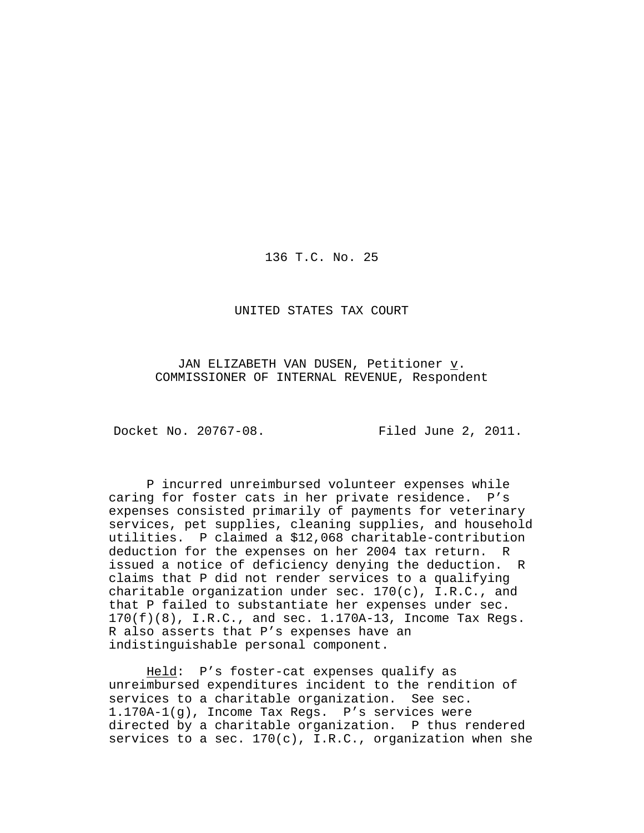136 T.C. No. 25

UNITED STATES TAX COURT

JAN ELIZABETH VAN DUSEN, Petitioner  $\underline{v}$ . COMMISSIONER OF INTERNAL REVENUE, Respondent

Docket No. 20767-08. Filed June 2, 2011.

P incurred unreimbursed volunteer expenses while caring for foster cats in her private residence. P's expenses consisted primarily of payments for veterinary services, pet supplies, cleaning supplies, and household utilities. P claimed a \$12,068 charitable-contribution deduction for the expenses on her 2004 tax return. R issued a notice of deficiency denying the deduction. R claims that P did not render services to a qualifying charitable organization under sec. 170(c), I.R.C., and that P failed to substantiate her expenses under sec.  $170(f)(8)$ , I.R.C., and sec.  $1.170A-13$ , Income Tax Regs. R also asserts that P's expenses have an indistinguishable personal component.

Held: P's foster-cat expenses qualify as unreimbursed expenditures incident to the rendition of services to a charitable organization. See sec. 1.170A-1(g), Income Tax Regs. P's services were directed by a charitable organization. P thus rendered services to a sec.  $170(c)$ , I.R.C., organization when she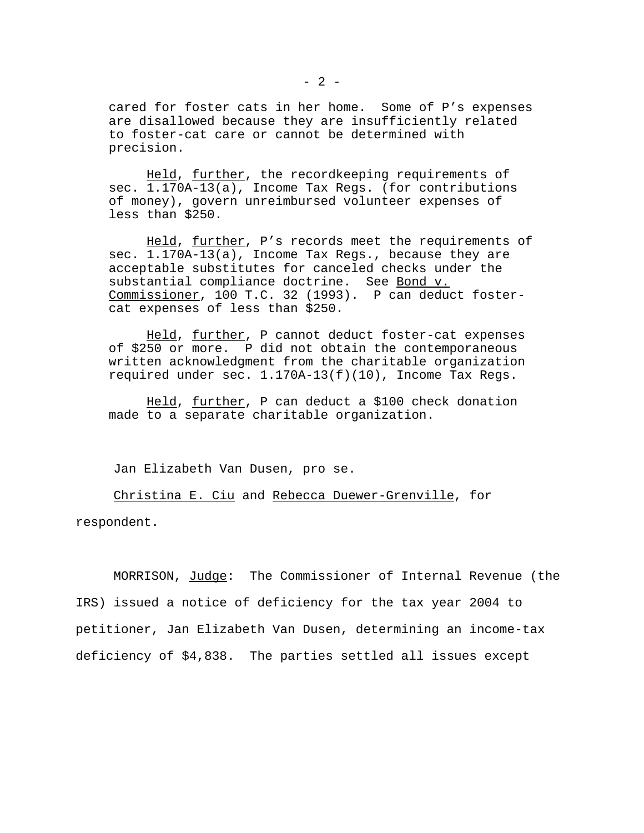cared for foster cats in her home. Some of P's expenses are disallowed because they are insufficiently related to foster-cat care or cannot be determined with precision.

Held, further, the recordkeeping requirements of sec. 1.170A-13(a), Income Tax Regs. (for contributions of money), govern unreimbursed volunteer expenses of less than \$250.

Held, further, P's records meet the requirements of sec. 1.170A-13(a), Income Tax Regs., because they are acceptable substitutes for canceled checks under the substantial compliance doctrine. See Bond v. Commissioner, 100 T.C. 32 (1993). P can deduct fostercat expenses of less than \$250.

Held, further, P cannot deduct foster-cat expenses of \$250 or more. P did not obtain the contemporaneous written acknowledgment from the charitable organization required under sec. 1.170A-13(f)(10), Income Tax Regs.

Held, <u>further</u>, P can deduct a \$100 check donation made to a separate charitable organization.

Jan Elizabeth Van Dusen, pro se.

Christina E. Ciu and Rebecca Duewer-Grenville, for respondent.

MORRISON, Judge: The Commissioner of Internal Revenue (the IRS) issued a notice of deficiency for the tax year 2004 to petitioner, Jan Elizabeth Van Dusen, determining an income-tax deficiency of \$4,838. The parties settled all issues except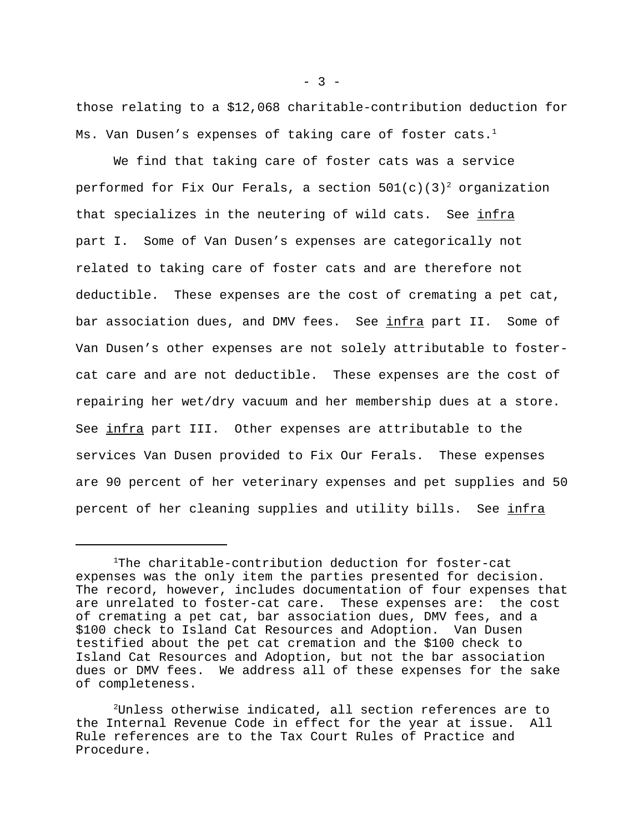those relating to a \$12,068 charitable-contribution deduction for Ms. Van Dusen's expenses of taking care of foster cats.<sup>1</sup>

We find that taking care of foster cats was a service performed for Fix Our Ferals, a section  $501(c)(3)^2$  organization that specializes in the neutering of wild cats. See infra part I. Some of Van Dusen's expenses are categorically not related to taking care of foster cats and are therefore not deductible. These expenses are the cost of cremating a pet cat, bar association dues, and DMV fees. See infra part II. Some of Van Dusen's other expenses are not solely attributable to fostercat care and are not deductible. These expenses are the cost of repairing her wet/dry vacuum and her membership dues at a store. See infra part III. Other expenses are attributable to the services Van Dusen provided to Fix Our Ferals. These expenses are 90 percent of her veterinary expenses and pet supplies and 50 percent of her cleaning supplies and utility bills. See infra

<sup>1</sup>The charitable-contribution deduction for foster-cat expenses was the only item the parties presented for decision. The record, however, includes documentation of four expenses that are unrelated to foster-cat care. These expenses are: the cost of cremating a pet cat, bar association dues, DMV fees, and a \$100 check to Island Cat Resources and Adoption. Van Dusen testified about the pet cat cremation and the \$100 check to Island Cat Resources and Adoption, but not the bar association dues or DMV fees. We address all of these expenses for the sake of completeness.

<sup>2</sup>Unless otherwise indicated, all section references are to the Internal Revenue Code in effect for the year at issue. All Rule references are to the Tax Court Rules of Practice and Procedure.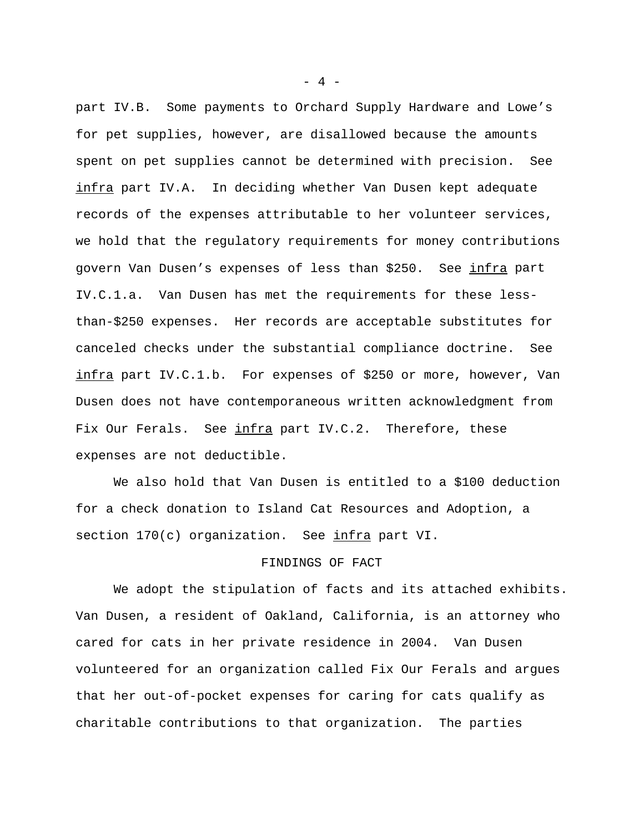part IV.B. Some payments to Orchard Supply Hardware and Lowe's for pet supplies, however, are disallowed because the amounts spent on pet supplies cannot be determined with precision. See infra part IV.A. In deciding whether Van Dusen kept adequate records of the expenses attributable to her volunteer services, we hold that the regulatory requirements for money contributions govern Van Dusen's expenses of less than \$250. See infra part IV.C.1.a. Van Dusen has met the requirements for these lessthan-\$250 expenses. Her records are acceptable substitutes for canceled checks under the substantial compliance doctrine. See infra part IV.C.1.b. For expenses of \$250 or more, however, Van Dusen does not have contemporaneous written acknowledgment from Fix Our Ferals. See infra part IV.C.2. Therefore, these expenses are not deductible.

We also hold that Van Dusen is entitled to a \$100 deduction for a check donation to Island Cat Resources and Adoption, a section 170(c) organization. See infra part VI.

## FINDINGS OF FACT

We adopt the stipulation of facts and its attached exhibits. Van Dusen, a resident of Oakland, California, is an attorney who cared for cats in her private residence in 2004. Van Dusen volunteered for an organization called Fix Our Ferals and argues that her out-of-pocket expenses for caring for cats qualify as charitable contributions to that organization. The parties

- 4 -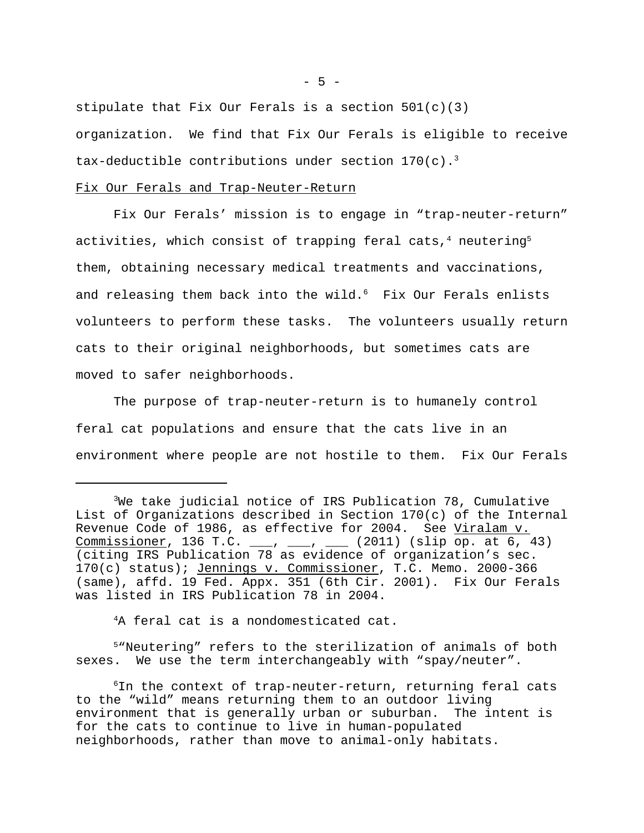stipulate that Fix Our Ferals is a section  $501(c)(3)$ organization. We find that Fix Our Ferals is eligible to receive tax-deductible contributions under section  $170(c)$ .<sup>3</sup>

### Fix Our Ferals and Trap-Neuter-Return

Fix Our Ferals' mission is to engage in "trap-neuter-return" activities, which consist of trapping feral cats,<sup>4</sup> neutering<sup>5</sup> them, obtaining necessary medical treatments and vaccinations, and releasing them back into the wild. $6$  Fix Our Ferals enlists volunteers to perform these tasks. The volunteers usually return cats to their original neighborhoods, but sometimes cats are moved to safer neighborhoods.

The purpose of trap-neuter-return is to humanely control feral cat populations and ensure that the cats live in an environment where people are not hostile to them. Fix Our Ferals

<sup>4</sup>A feral cat is a nondomesticated cat.

<sup>5</sup>"Neutering" refers to the sterilization of animals of both sexes. We use the term interchangeably with "spay/neuter".

 $6$ In the context of trap-neuter-return, returning feral cats to the "wild" means returning them to an outdoor living environment that is generally urban or suburban. The intent is for the cats to continue to live in human-populated neighborhoods, rather than move to animal-only habitats.

 $- 5 -$ 

<sup>3</sup>We take judicial notice of IRS Publication 78, Cumulative List of Organizations described in Section 170(c) of the Internal Revenue Code of 1986, as effective for 2004. See Viralam v. Commissioner, 136 T.C.  $\frac{1}{2}$ ,  $\frac{1}{2}$ ,  $\frac{1}{2}$  (2011) (slip op. at 6, 43) (citing IRS Publication 78 as evidence of organization's sec. 170(c) status); Jennings v. Commissioner, T.C. Memo. 2000-366 (same), affd. 19 Fed. Appx. 351 (6th Cir. 2001). Fix Our Ferals was listed in IRS Publication 78 in 2004.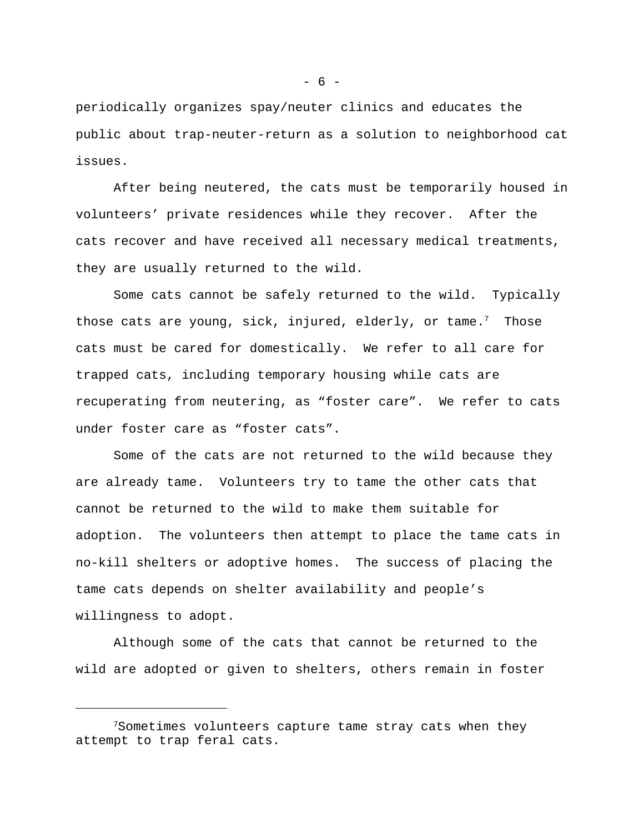periodically organizes spay/neuter clinics and educates the public about trap-neuter-return as a solution to neighborhood cat issues.

After being neutered, the cats must be temporarily housed in volunteers' private residences while they recover. After the cats recover and have received all necessary medical treatments, they are usually returned to the wild.

Some cats cannot be safely returned to the wild. Typically those cats are young, sick, injured, elderly, or tame.<sup>7</sup> Those cats must be cared for domestically. We refer to all care for trapped cats, including temporary housing while cats are recuperating from neutering, as "foster care". We refer to cats under foster care as "foster cats".

Some of the cats are not returned to the wild because they are already tame. Volunteers try to tame the other cats that cannot be returned to the wild to make them suitable for adoption. The volunteers then attempt to place the tame cats in no-kill shelters or adoptive homes. The success of placing the tame cats depends on shelter availability and people's willingness to adopt.

Although some of the cats that cannot be returned to the wild are adopted or given to shelters, others remain in foster

 $- 6 -$ 

 $7$ Sometimes volunteers capture tame stray cats when they attempt to trap feral cats.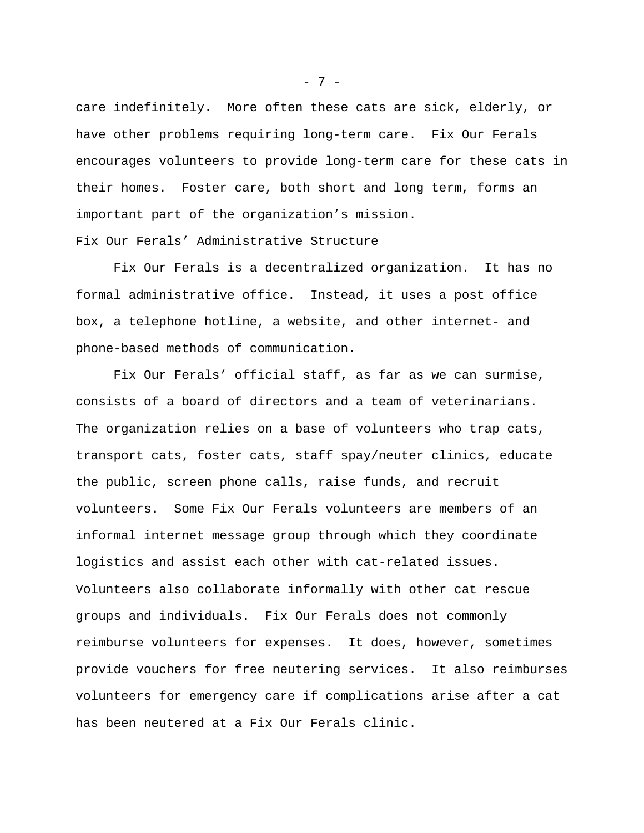care indefinitely. More often these cats are sick, elderly, or have other problems requiring long-term care. Fix Our Ferals encourages volunteers to provide long-term care for these cats in their homes. Foster care, both short and long term, forms an important part of the organization's mission.

#### Fix Our Ferals' Administrative Structure

Fix Our Ferals is a decentralized organization. It has no formal administrative office. Instead, it uses a post office box, a telephone hotline, a website, and other internet- and phone-based methods of communication.

Fix Our Ferals' official staff, as far as we can surmise, consists of a board of directors and a team of veterinarians. The organization relies on a base of volunteers who trap cats, transport cats, foster cats, staff spay/neuter clinics, educate the public, screen phone calls, raise funds, and recruit volunteers. Some Fix Our Ferals volunteers are members of an informal internet message group through which they coordinate logistics and assist each other with cat-related issues. Volunteers also collaborate informally with other cat rescue groups and individuals. Fix Our Ferals does not commonly reimburse volunteers for expenses. It does, however, sometimes provide vouchers for free neutering services. It also reimburses volunteers for emergency care if complications arise after a cat has been neutered at a Fix Our Ferals clinic.

- 7 -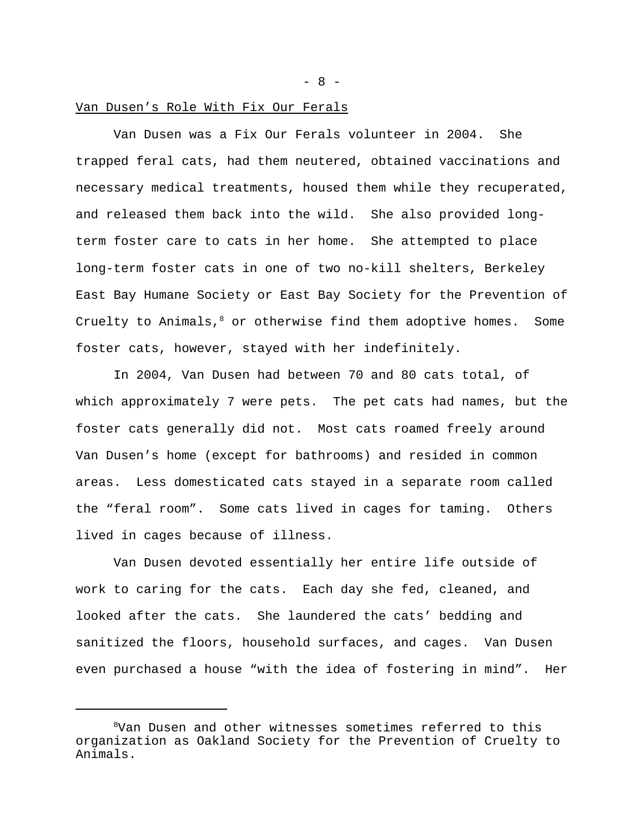#### Van Dusen's Role With Fix Our Ferals

Van Dusen was a Fix Our Ferals volunteer in 2004. She trapped feral cats, had them neutered, obtained vaccinations and necessary medical treatments, housed them while they recuperated, and released them back into the wild. She also provided longterm foster care to cats in her home. She attempted to place long-term foster cats in one of two no-kill shelters, Berkeley East Bay Humane Society or East Bay Society for the Prevention of Cruelty to Animals, $8$  or otherwise find them adoptive homes. Some foster cats, however, stayed with her indefinitely.

In 2004, Van Dusen had between 70 and 80 cats total, of which approximately 7 were pets. The pet cats had names, but the foster cats generally did not. Most cats roamed freely around Van Dusen's home (except for bathrooms) and resided in common areas. Less domesticated cats stayed in a separate room called the "feral room". Some cats lived in cages for taming. Others lived in cages because of illness.

Van Dusen devoted essentially her entire life outside of work to caring for the cats. Each day she fed, cleaned, and looked after the cats. She laundered the cats' bedding and sanitized the floors, household surfaces, and cages. Van Dusen even purchased a house "with the idea of fostering in mind". Her

 $- 8 -$ 

<sup>8</sup>Van Dusen and other witnesses sometimes referred to this organization as Oakland Society for the Prevention of Cruelty to Animals.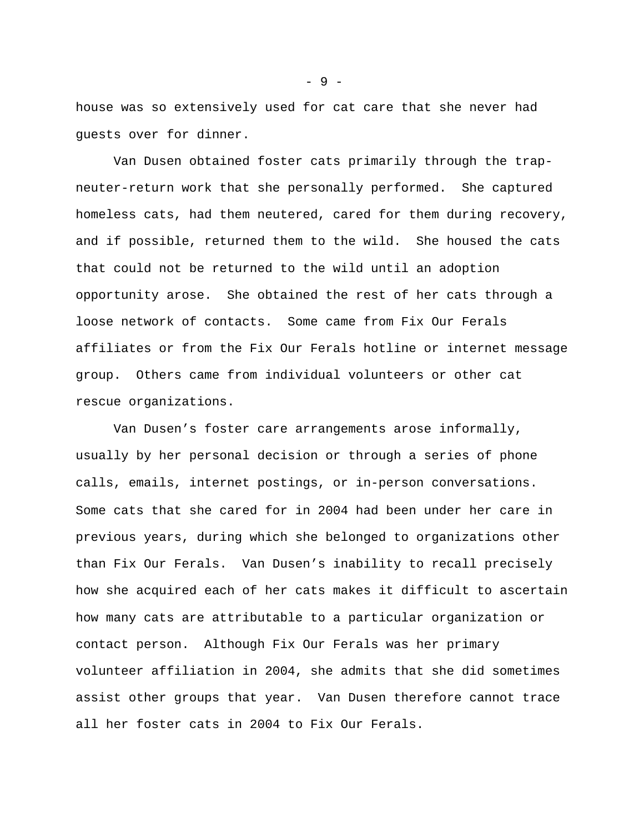house was so extensively used for cat care that she never had guests over for dinner.

Van Dusen obtained foster cats primarily through the trapneuter-return work that she personally performed. She captured homeless cats, had them neutered, cared for them during recovery, and if possible, returned them to the wild. She housed the cats that could not be returned to the wild until an adoption opportunity arose. She obtained the rest of her cats through a loose network of contacts. Some came from Fix Our Ferals affiliates or from the Fix Our Ferals hotline or internet message group. Others came from individual volunteers or other cat rescue organizations.

Van Dusen's foster care arrangements arose informally, usually by her personal decision or through a series of phone calls, emails, internet postings, or in-person conversations. Some cats that she cared for in 2004 had been under her care in previous years, during which she belonged to organizations other than Fix Our Ferals. Van Dusen's inability to recall precisely how she acquired each of her cats makes it difficult to ascertain how many cats are attributable to a particular organization or contact person. Although Fix Our Ferals was her primary volunteer affiliation in 2004, she admits that she did sometimes assist other groups that year. Van Dusen therefore cannot trace all her foster cats in 2004 to Fix Our Ferals.

- 9 -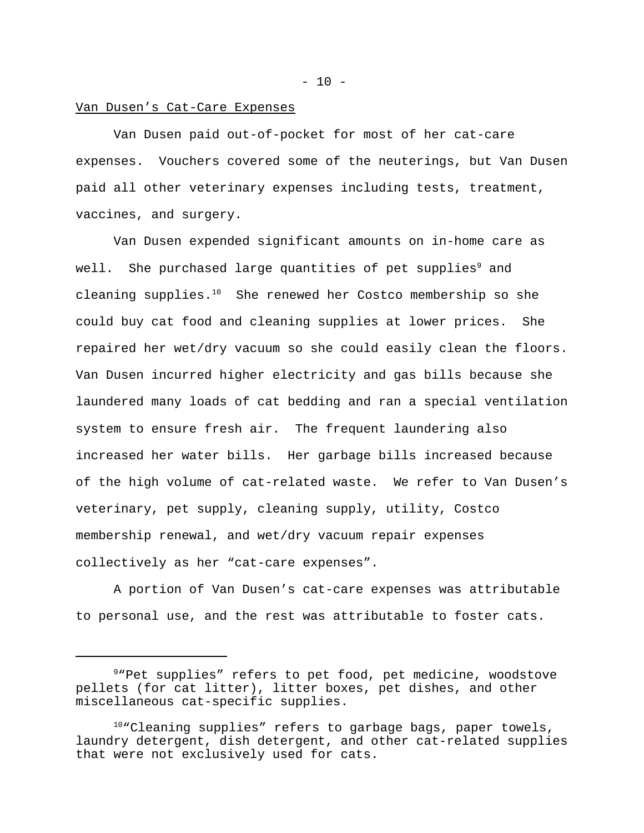#### Van Dusen's Cat-Care Expenses

Van Dusen paid out-of-pocket for most of her cat-care expenses. Vouchers covered some of the neuterings, but Van Dusen paid all other veterinary expenses including tests, treatment, vaccines, and surgery.

Van Dusen expended significant amounts on in-home care as well. She purchased large quantities of pet supplies<sup>9</sup> and cleaning supplies.<sup>10</sup> She renewed her Costco membership so she could buy cat food and cleaning supplies at lower prices. She repaired her wet/dry vacuum so she could easily clean the floors. Van Dusen incurred higher electricity and gas bills because she laundered many loads of cat bedding and ran a special ventilation system to ensure fresh air. The frequent laundering also increased her water bills. Her garbage bills increased because of the high volume of cat-related waste. We refer to Van Dusen's veterinary, pet supply, cleaning supply, utility, Costco membership renewal, and wet/dry vacuum repair expenses collectively as her "cat-care expenses".

A portion of Van Dusen's cat-care expenses was attributable to personal use, and the rest was attributable to foster cats.

 $- 10 -$ 

<sup>9</sup>"Pet supplies" refers to pet food, pet medicine, woodstove pellets (for cat litter), litter boxes, pet dishes, and other miscellaneous cat-specific supplies.

<sup>&</sup>lt;sup>10</sup>"Cleaning supplies" refers to garbage bags, paper towels, laundry detergent, dish detergent, and other cat-related supplies that were not exclusively used for cats.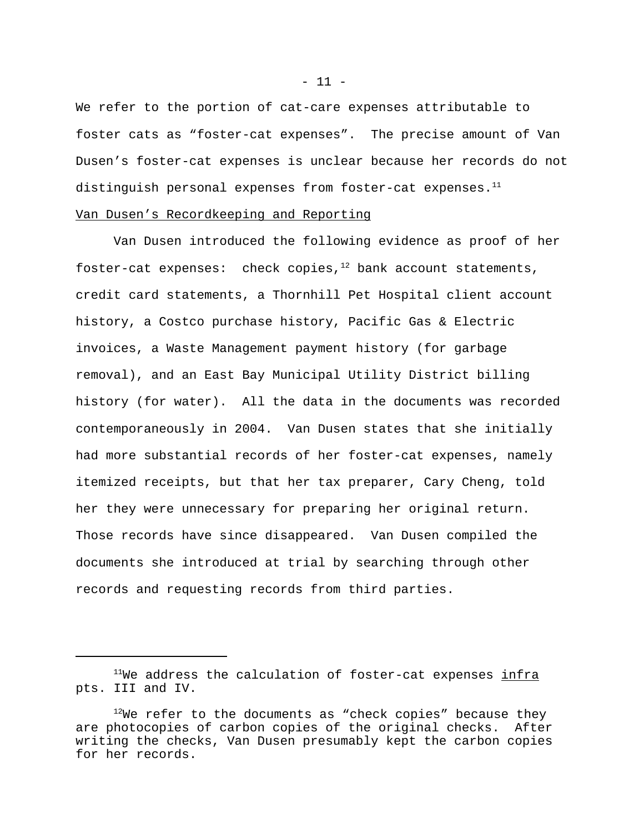We refer to the portion of cat-care expenses attributable to foster cats as "foster-cat expenses". The precise amount of Van Dusen's foster-cat expenses is unclear because her records do not distinguish personal expenses from foster-cat expenses.<sup>11</sup>

# Van Dusen's Recordkeeping and Reporting

Van Dusen introduced the following evidence as proof of her foster-cat expenses: check copies, $12$  bank account statements, credit card statements, a Thornhill Pet Hospital client account history, a Costco purchase history, Pacific Gas & Electric invoices, a Waste Management payment history (for garbage removal), and an East Bay Municipal Utility District billing history (for water). All the data in the documents was recorded contemporaneously in 2004. Van Dusen states that she initially had more substantial records of her foster-cat expenses, namely itemized receipts, but that her tax preparer, Cary Cheng, told her they were unnecessary for preparing her original return. Those records have since disappeared. Van Dusen compiled the documents she introduced at trial by searching through other records and requesting records from third parties.

 $- 11 -$ 

 $11$ We address the calculation of foster-cat expenses infra pts. III and IV.

 $12$ We refer to the documents as "check copies" because they are photocopies of carbon copies of the original checks. After writing the checks, Van Dusen presumably kept the carbon copies for her records.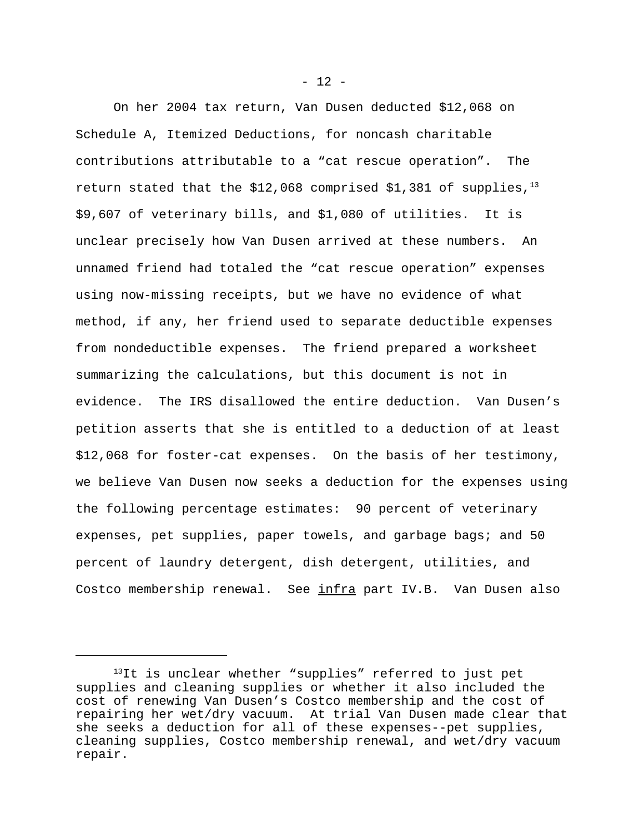On her 2004 tax return, Van Dusen deducted \$12,068 on Schedule A, Itemized Deductions, for noncash charitable contributions attributable to a "cat rescue operation". The return stated that the \$12,068 comprised \$1,381 of supplies, $1^{3}$ \$9,607 of veterinary bills, and \$1,080 of utilities. It is unclear precisely how Van Dusen arrived at these numbers. An unnamed friend had totaled the "cat rescue operation" expenses using now-missing receipts, but we have no evidence of what method, if any, her friend used to separate deductible expenses from nondeductible expenses. The friend prepared a worksheet summarizing the calculations, but this document is not in evidence. The IRS disallowed the entire deduction. Van Dusen's petition asserts that she is entitled to a deduction of at least \$12,068 for foster-cat expenses. On the basis of her testimony, we believe Van Dusen now seeks a deduction for the expenses using the following percentage estimates: 90 percent of veterinary expenses, pet supplies, paper towels, and garbage bags; and 50 percent of laundry detergent, dish detergent, utilities, and Costco membership renewal. See infra part IV.B. Van Dusen also

 $- 12 -$ 

<sup>&</sup>lt;sup>13</sup>It is unclear whether "supplies" referred to just pet supplies and cleaning supplies or whether it also included the cost of renewing Van Dusen's Costco membership and the cost of repairing her wet/dry vacuum. At trial Van Dusen made clear that she seeks a deduction for all of these expenses--pet supplies, cleaning supplies, Costco membership renewal, and wet/dry vacuum repair.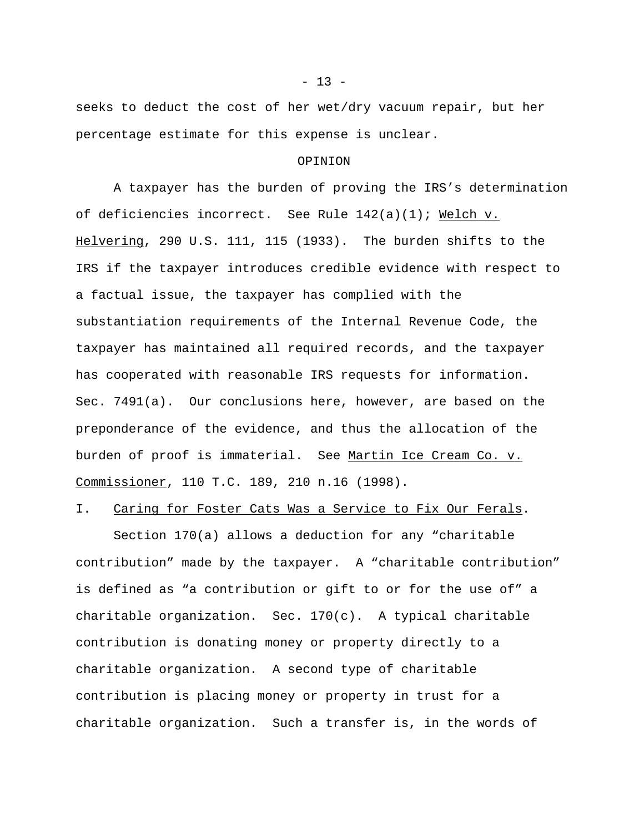seeks to deduct the cost of her wet/dry vacuum repair, but her percentage estimate for this expense is unclear.

#### OPINION

A taxpayer has the burden of proving the IRS's determination of deficiencies incorrect. See Rule 142(a)(1); Welch v. Helvering, 290 U.S. 111, 115 (1933). The burden shifts to the IRS if the taxpayer introduces credible evidence with respect to a factual issue, the taxpayer has complied with the substantiation requirements of the Internal Revenue Code, the taxpayer has maintained all required records, and the taxpayer has cooperated with reasonable IRS requests for information. Sec. 7491(a). Our conclusions here, however, are based on the preponderance of the evidence, and thus the allocation of the burden of proof is immaterial. See Martin Ice Cream Co. v. Commissioner, 110 T.C. 189, 210 n.16 (1998).

# I. Caring for Foster Cats Was a Service to Fix Our Ferals.

Section 170(a) allows a deduction for any "charitable contribution" made by the taxpayer. A "charitable contribution" is defined as "a contribution or gift to or for the use of" a charitable organization. Sec.  $170(c)$ . A typical charitable contribution is donating money or property directly to a charitable organization. A second type of charitable contribution is placing money or property in trust for a charitable organization. Such a transfer is, in the words of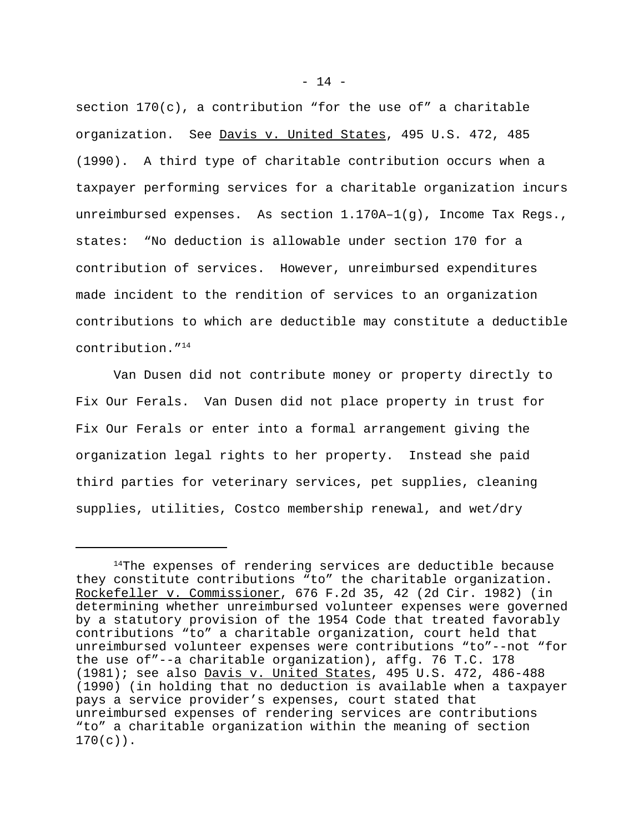section  $170(c)$ , a contribution "for the use of" a charitable organization. See Davis v. United States, 495 U.S. 472, 485 (1990). A third type of charitable contribution occurs when a taxpayer performing services for a charitable organization incurs unreimbursed expenses. As section  $1.170A-1(q)$ , Income Tax Reqs., states: "No deduction is allowable under section 170 for a contribution of services. However, unreimbursed expenditures made incident to the rendition of services to an organization contributions to which are deductible may constitute a deductible contribution."<sup>14</sup>

Van Dusen did not contribute money or property directly to Fix Our Ferals. Van Dusen did not place property in trust for Fix Our Ferals or enter into a formal arrangement giving the organization legal rights to her property. Instead she paid third parties for veterinary services, pet supplies, cleaning supplies, utilities, Costco membership renewal, and wet/dry

 $14$ The expenses of rendering services are deductible because they constitute contributions "to" the charitable organization. Rockefeller v. Commissioner, 676 F.2d 35, 42 (2d Cir. 1982) (in determining whether unreimbursed volunteer expenses were governed by a statutory provision of the 1954 Code that treated favorably contributions "to" a charitable organization, court held that unreimbursed volunteer expenses were contributions "to"--not "for the use of"--a charitable organization), affg. 76 T.C. 178 (1981); see also Davis v. United States, 495 U.S. 472, 486-488 (1990) (in holding that no deduction is available when a taxpayer pays a service provider's expenses, court stated that unreimbursed expenses of rendering services are contributions "to" a charitable organization within the meaning of section  $170(c)$ .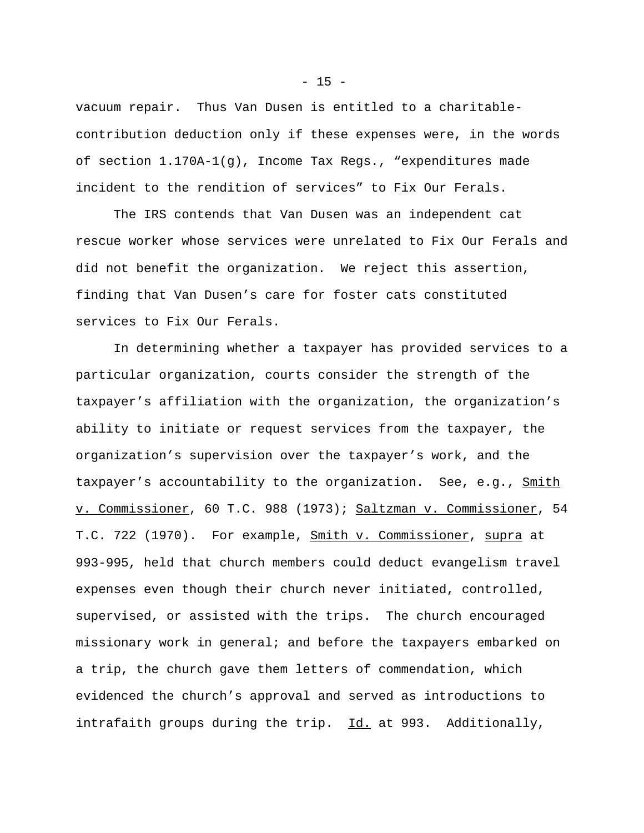vacuum repair. Thus Van Dusen is entitled to a charitablecontribution deduction only if these expenses were, in the words of section 1.170A-1(g), Income Tax Regs., "expenditures made incident to the rendition of services" to Fix Our Ferals.

The IRS contends that Van Dusen was an independent cat rescue worker whose services were unrelated to Fix Our Ferals and did not benefit the organization. We reject this assertion, finding that Van Dusen's care for foster cats constituted services to Fix Our Ferals.

In determining whether a taxpayer has provided services to a particular organization, courts consider the strength of the taxpayer's affiliation with the organization, the organization's ability to initiate or request services from the taxpayer, the organization's supervision over the taxpayer's work, and the taxpayer's accountability to the organization. See, e.g., Smith v. Commissioner, 60 T.C. 988 (1973); Saltzman v. Commissioner, 54 T.C. 722 (1970). For example, Smith v. Commissioner, supra at 993-995, held that church members could deduct evangelism travel expenses even though their church never initiated, controlled, supervised, or assisted with the trips. The church encouraged missionary work in general; and before the taxpayers embarked on a trip, the church gave them letters of commendation, which evidenced the church's approval and served as introductions to intrafaith groups during the trip. Id. at 993. Additionally,

 $- 15 -$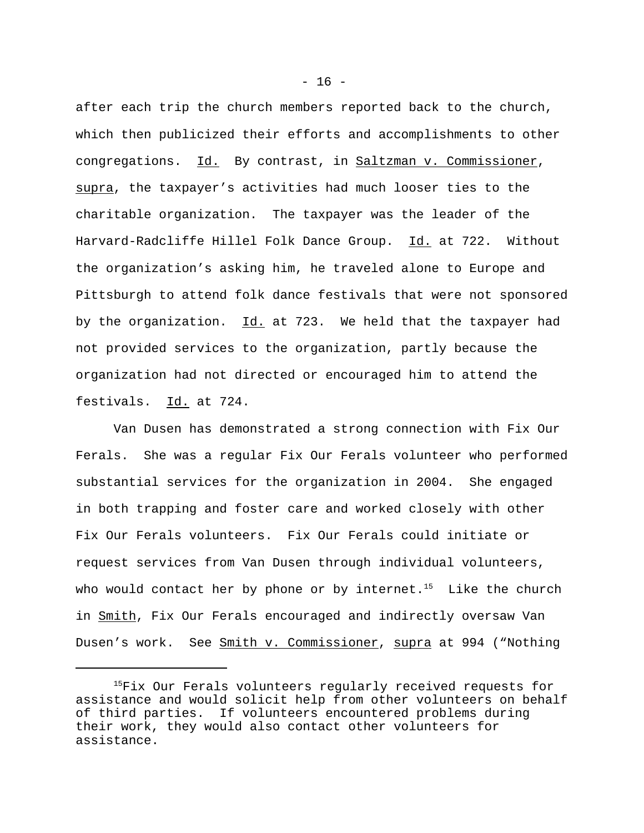after each trip the church members reported back to the church, which then publicized their efforts and accomplishments to other congregations. Id. By contrast, in Saltzman v. Commissioner, supra, the taxpayer's activities had much looser ties to the charitable organization. The taxpayer was the leader of the Harvard-Radcliffe Hillel Folk Dance Group. Id. at 722. Without the organization's asking him, he traveled alone to Europe and Pittsburgh to attend folk dance festivals that were not sponsored by the organization.  $Id.$  at 723. We held that the taxpayer had not provided services to the organization, partly because the organization had not directed or encouraged him to attend the festivals. Id. at 724.

Van Dusen has demonstrated a strong connection with Fix Our Ferals. She was a regular Fix Our Ferals volunteer who performed substantial services for the organization in 2004. She engaged in both trapping and foster care and worked closely with other Fix Our Ferals volunteers. Fix Our Ferals could initiate or request services from Van Dusen through individual volunteers, who would contact her by phone or by internet.<sup>15</sup> Like the church in Smith, Fix Our Ferals encouraged and indirectly oversaw Van Dusen's work. See Smith v. Commissioner, supra at 994 ("Nothing

 $- 16 -$ 

<sup>&</sup>lt;sup>15</sup>Fix Our Ferals volunteers regularly received requests for assistance and would solicit help from other volunteers on behalf of third parties. If volunteers encountered problems during their work, they would also contact other volunteers for assistance.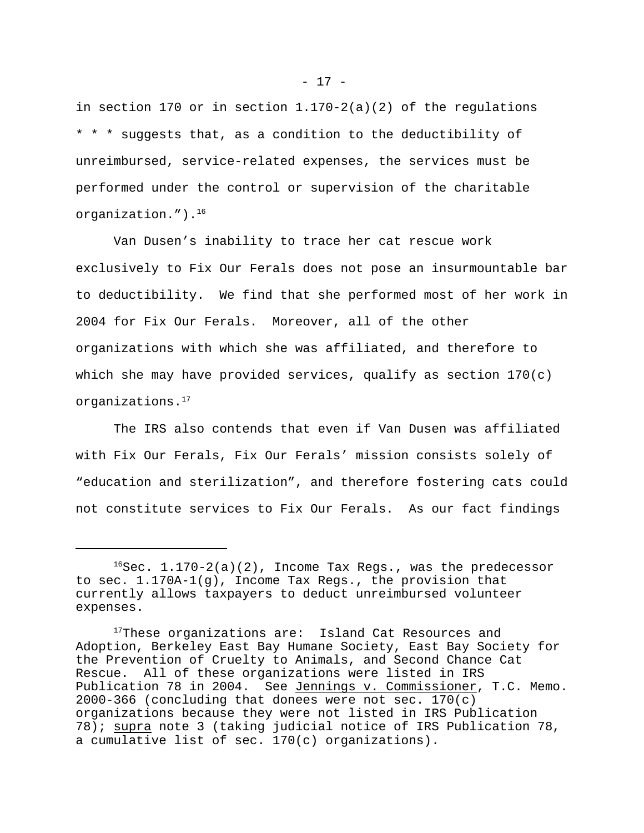in section 170 or in section 1.170-2(a)(2) of the regulations \* \* \* suggests that, as a condition to the deductibility of unreimbursed, service-related expenses, the services must be performed under the control or supervision of the charitable organization.").<sup>16</sup>

Van Dusen's inability to trace her cat rescue work exclusively to Fix Our Ferals does not pose an insurmountable bar to deductibility. We find that she performed most of her work in 2004 for Fix Our Ferals. Moreover, all of the other organizations with which she was affiliated, and therefore to which she may have provided services, qualify as section 170(c) organizations.<sup>17</sup>

The IRS also contends that even if Van Dusen was affiliated with Fix Our Ferals, Fix Our Ferals' mission consists solely of "education and sterilization", and therefore fostering cats could not constitute services to Fix Our Ferals. As our fact findings

- 17 -

 $16$ Sec.  $1.170-2(a)(2)$ , Income Tax Regs., was the predecessor to sec. 1.170A-1(g), Income Tax Regs., the provision that currently allows taxpayers to deduct unreimbursed volunteer expenses.

<sup>&</sup>lt;sup>17</sup>These organizations are: Island Cat Resources and Adoption, Berkeley East Bay Humane Society, East Bay Society for the Prevention of Cruelty to Animals, and Second Chance Cat Rescue. All of these organizations were listed in IRS Publication 78 in 2004. See Jennings v. Commissioner, T.C. Memo. 2000-366 (concluding that donees were not sec. 170(c) organizations because they were not listed in IRS Publication 78); supra note 3 (taking judicial notice of IRS Publication 78, a cumulative list of sec. 170(c) organizations).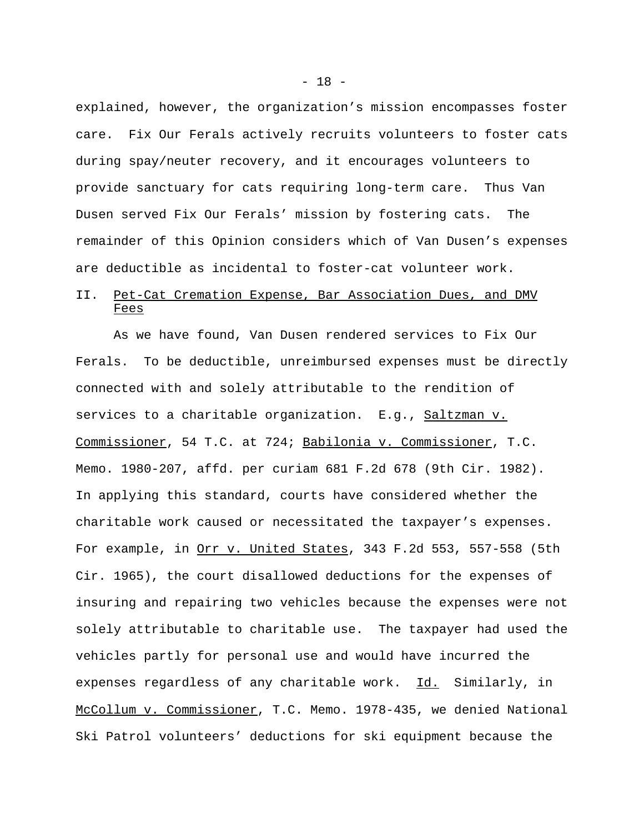explained, however, the organization's mission encompasses foster care. Fix Our Ferals actively recruits volunteers to foster cats during spay/neuter recovery, and it encourages volunteers to provide sanctuary for cats requiring long-term care. Thus Van Dusen served Fix Our Ferals' mission by fostering cats. The remainder of this Opinion considers which of Van Dusen's expenses are deductible as incidental to foster-cat volunteer work.

# II. Pet-Cat Cremation Expense, Bar Association Dues, and DMV Fees

As we have found, Van Dusen rendered services to Fix Our Ferals. To be deductible, unreimbursed expenses must be directly connected with and solely attributable to the rendition of services to a charitable organization. E.g., Saltzman v. Commissioner, 54 T.C. at 724; Babilonia v. Commissioner, T.C. Memo. 1980-207, affd. per curiam 681 F.2d 678 (9th Cir. 1982). In applying this standard, courts have considered whether the charitable work caused or necessitated the taxpayer's expenses. For example, in Orr v. United States, 343 F.2d 553, 557-558 (5th Cir. 1965), the court disallowed deductions for the expenses of insuring and repairing two vehicles because the expenses were not solely attributable to charitable use. The taxpayer had used the vehicles partly for personal use and would have incurred the expenses regardless of any charitable work. Id. Similarly, in McCollum v. Commissioner, T.C. Memo. 1978-435, we denied National Ski Patrol volunteers' deductions for ski equipment because the

- 18 -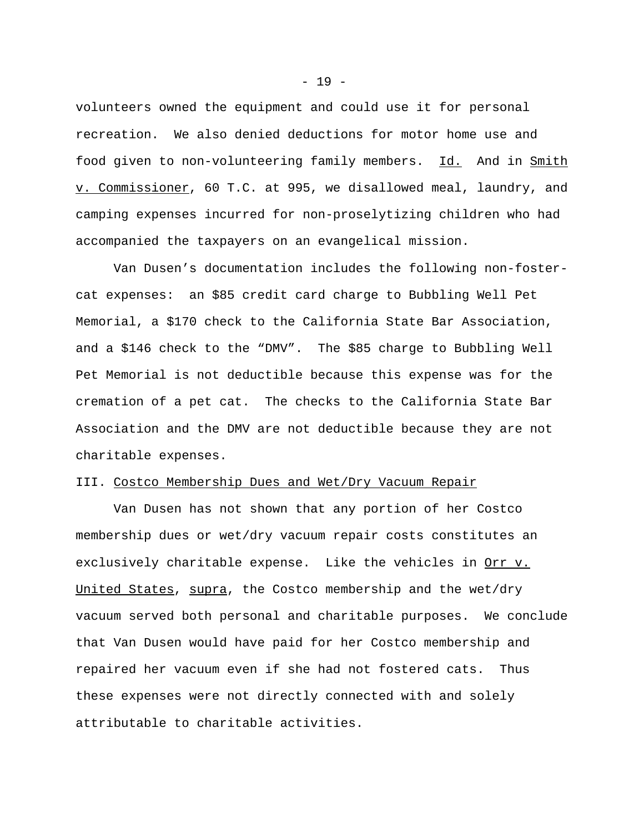volunteers owned the equipment and could use it for personal recreation. We also denied deductions for motor home use and food given to non-volunteering family members. Id. And in Smith v. Commissioner, 60 T.C. at 995, we disallowed meal, laundry, and camping expenses incurred for non-proselytizing children who had accompanied the taxpayers on an evangelical mission.

Van Dusen's documentation includes the following non-fostercat expenses: an \$85 credit card charge to Bubbling Well Pet Memorial, a \$170 check to the California State Bar Association, and a \$146 check to the "DMV". The \$85 charge to Bubbling Well Pet Memorial is not deductible because this expense was for the cremation of a pet cat. The checks to the California State Bar Association and the DMV are not deductible because they are not charitable expenses.

#### III. Costco Membership Dues and Wet/Dry Vacuum Repair

Van Dusen has not shown that any portion of her Costco membership dues or wet/dry vacuum repair costs constitutes an exclusively charitable expense. Like the vehicles in <u>Orr v.</u> United States, supra, the Costco membership and the wet/dry vacuum served both personal and charitable purposes. We conclude that Van Dusen would have paid for her Costco membership and repaired her vacuum even if she had not fostered cats. Thus these expenses were not directly connected with and solely attributable to charitable activities.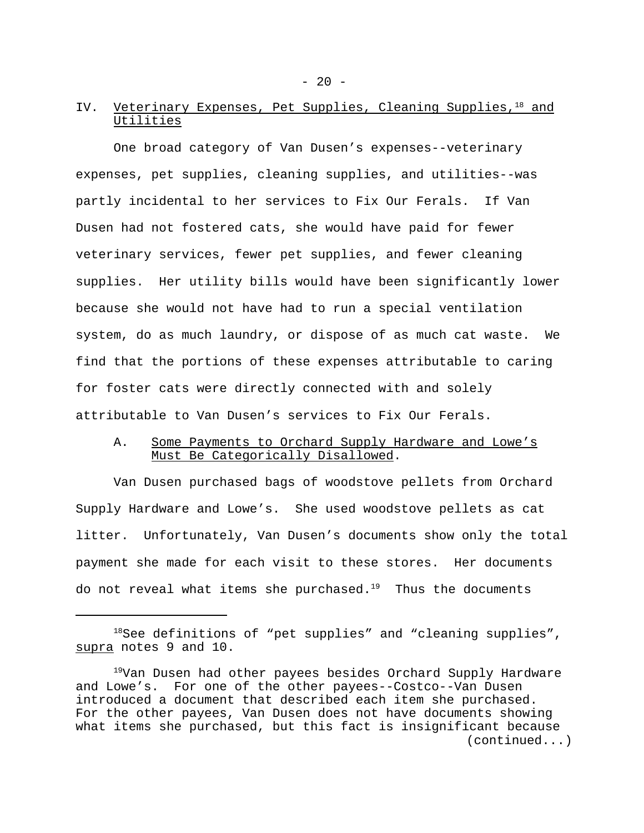# IV. Veterinary Expenses, Pet Supplies, Cleaning Supplies,<sup>18</sup> and Utilities

One broad category of Van Dusen's expenses--veterinary expenses, pet supplies, cleaning supplies, and utilities--was partly incidental to her services to Fix Our Ferals. If Van Dusen had not fostered cats, she would have paid for fewer veterinary services, fewer pet supplies, and fewer cleaning supplies. Her utility bills would have been significantly lower because she would not have had to run a special ventilation system, do as much laundry, or dispose of as much cat waste. We find that the portions of these expenses attributable to caring for foster cats were directly connected with and solely attributable to Van Dusen's services to Fix Our Ferals.

# A. Some Payments to Orchard Supply Hardware and Lowe's Must Be Categorically Disallowed.

Van Dusen purchased bags of woodstove pellets from Orchard Supply Hardware and Lowe's. She used woodstove pellets as cat litter. Unfortunately, Van Dusen's documents show only the total payment she made for each visit to these stores. Her documents do not reveal what items she purchased. $19$  Thus the documents

<sup>&</sup>lt;sup>18</sup>See definitions of "pet supplies" and "cleaning supplies", supra notes 9 and 10.

<sup>&</sup>lt;sup>19</sup>Van Dusen had other payees besides Orchard Supply Hardware and Lowe's. For one of the other payees--Costco--Van Dusen introduced a document that described each item she purchased. For the other payees, Van Dusen does not have documents showing what items she purchased, but this fact is insignificant because (continued...)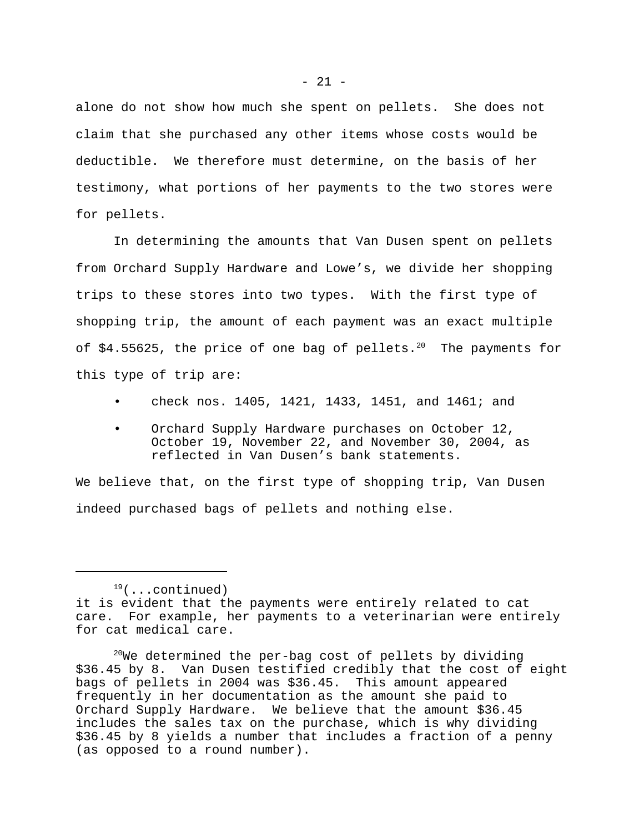alone do not show how much she spent on pellets. She does not claim that she purchased any other items whose costs would be deductible. We therefore must determine, on the basis of her testimony, what portions of her payments to the two stores were for pellets.

In determining the amounts that Van Dusen spent on pellets from Orchard Supply Hardware and Lowe's, we divide her shopping trips to these stores into two types. With the first type of shopping trip, the amount of each payment was an exact multiple of  $$4.55625$ , the price of one bag of pellets.<sup>20</sup> The payments for this type of trip are:

- check nos. 1405, 1421, 1433, 1451, and 1461; and
- Orchard Supply Hardware purchases on October 12, October 19, November 22, and November 30, 2004, as reflected in Van Dusen's bank statements.

We believe that, on the first type of shopping trip, Van Dusen indeed purchased bags of pellets and nothing else.

 $19$ (...continued) it is evident that the payments were entirely related to cat care. For example, her payments to a veterinarian were entirely for cat medical care.

 $20$ We determined the per-bag cost of pellets by dividing \$36.45 by 8. Van Dusen testified credibly that the cost of eight bags of pellets in 2004 was \$36.45. This amount appeared frequently in her documentation as the amount she paid to Orchard Supply Hardware. We believe that the amount \$36.45 includes the sales tax on the purchase, which is why dividing \$36.45 by 8 yields a number that includes a fraction of a penny (as opposed to a round number).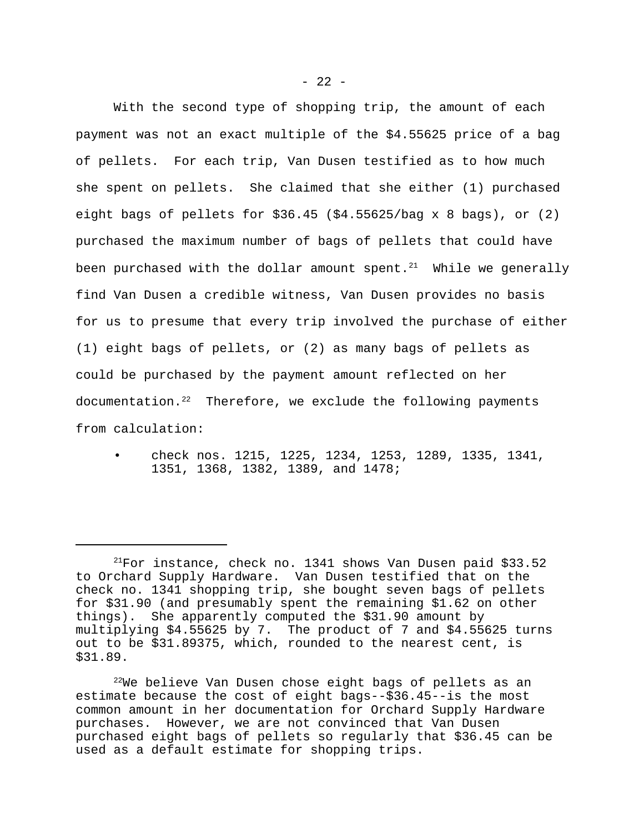With the second type of shopping trip, the amount of each payment was not an exact multiple of the \$4.55625 price of a bag of pellets. For each trip, Van Dusen testified as to how much she spent on pellets. She claimed that she either (1) purchased eight bags of pellets for  $$36.45$  ( $$4.55625/baq \times 8$  bags), or (2) purchased the maximum number of bags of pellets that could have been purchased with the dollar amount spent. $21$  While we generally find Van Dusen a credible witness, Van Dusen provides no basis for us to presume that every trip involved the purchase of either (1) eight bags of pellets, or (2) as many bags of pellets as could be purchased by the payment amount reflected on her documentation.<sup>22</sup> Therefore, we exclude the following payments from calculation:

• check nos. 1215, 1225, 1234, 1253, 1289, 1335, 1341, 1351, 1368, 1382, 1389, and 1478;

 $^{21}$ For instance, check no. 1341 shows Van Dusen paid \$33.52 to Orchard Supply Hardware. Van Dusen testified that on the check no. 1341 shopping trip, she bought seven bags of pellets for \$31.90 (and presumably spent the remaining \$1.62 on other things). She apparently computed the \$31.90 amount by multiplying \$4.55625 by 7. The product of 7 and \$4.55625 turns out to be \$31.89375, which, rounded to the nearest cent, is \$31.89.

<sup>&</sup>lt;sup>22</sup>We believe Van Dusen chose eight bags of pellets as an estimate because the cost of eight bags--\$36.45--is the most common amount in her documentation for Orchard Supply Hardware purchases. However, we are not convinced that Van Dusen purchased eight bags of pellets so regularly that \$36.45 can be used as a default estimate for shopping trips.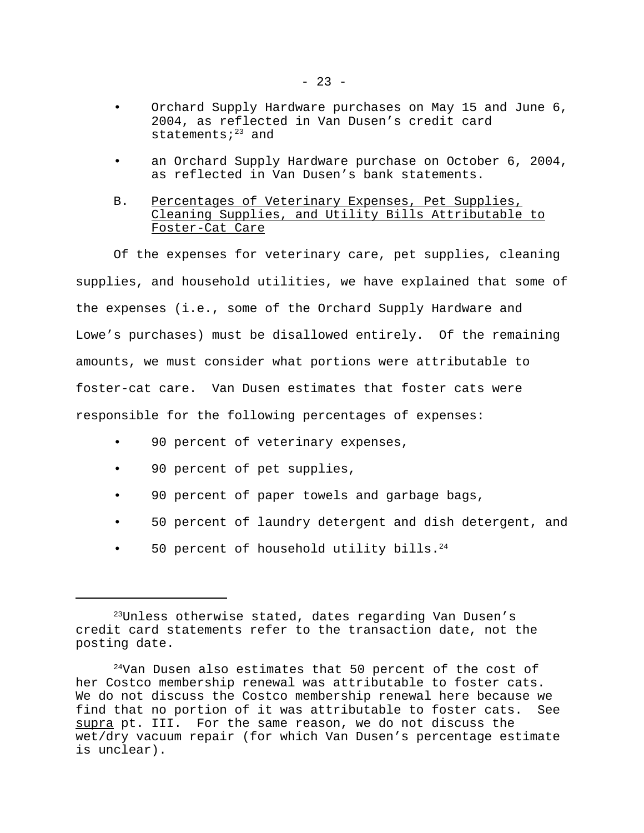- Orchard Supply Hardware purchases on May 15 and June 6, 2004, as reflected in Van Dusen's credit card statements; $23$  and
- an Orchard Supply Hardware purchase on October 6, 2004, as reflected in Van Dusen's bank statements.

# B. Percentages of Veterinary Expenses, Pet Supplies, Cleaning Supplies, and Utility Bills Attributable to Foster-Cat Care

Of the expenses for veterinary care, pet supplies, cleaning supplies, and household utilities, we have explained that some of the expenses (i.e., some of the Orchard Supply Hardware and Lowe's purchases) must be disallowed entirely. Of the remaining amounts, we must consider what portions were attributable to foster-cat care. Van Dusen estimates that foster cats were responsible for the following percentages of expenses:

- 90 percent of veterinary expenses,
- 90 percent of pet supplies,
- 90 percent of paper towels and garbage bags,
- 50 percent of laundry detergent and dish detergent, and
- 50 percent of household utility bills. $24$

<sup>&</sup>lt;sup>23</sup>Unless otherwise stated, dates regarding Van Dusen's credit card statements refer to the transaction date, not the posting date.

 $24$ Van Dusen also estimates that 50 percent of the cost of her Costco membership renewal was attributable to foster cats. We do not discuss the Costco membership renewal here because we find that no portion of it was attributable to foster cats. See supra pt. III. For the same reason, we do not discuss the wet/dry vacuum repair (for which Van Dusen's percentage estimate is unclear).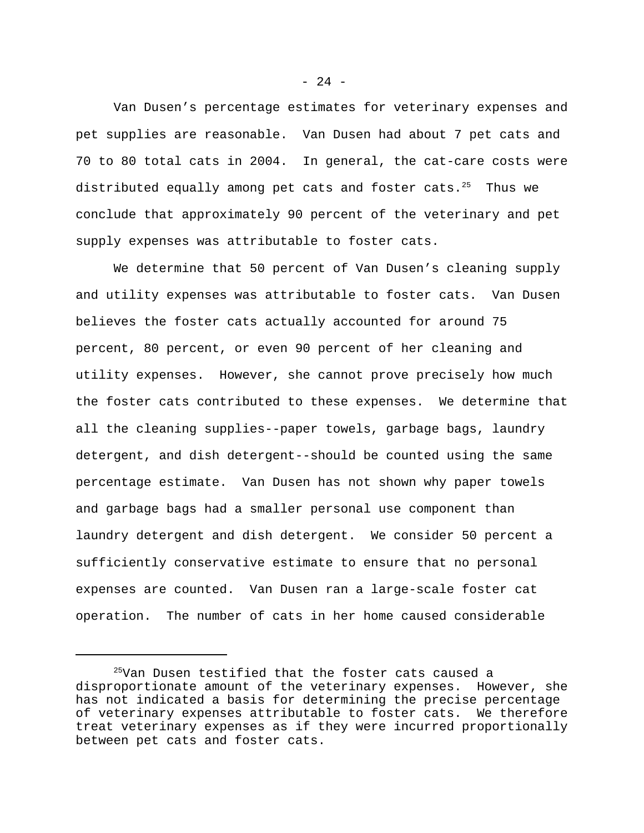Van Dusen's percentage estimates for veterinary expenses and pet supplies are reasonable. Van Dusen had about 7 pet cats and 70 to 80 total cats in 2004. In general, the cat-care costs were distributed equally among pet cats and foster cats. $25$  Thus we conclude that approximately 90 percent of the veterinary and pet supply expenses was attributable to foster cats.

We determine that 50 percent of Van Dusen's cleaning supply and utility expenses was attributable to foster cats. Van Dusen believes the foster cats actually accounted for around 75 percent, 80 percent, or even 90 percent of her cleaning and utility expenses. However, she cannot prove precisely how much the foster cats contributed to these expenses. We determine that all the cleaning supplies--paper towels, garbage bags, laundry detergent, and dish detergent--should be counted using the same percentage estimate. Van Dusen has not shown why paper towels and garbage bags had a smaller personal use component than laundry detergent and dish detergent. We consider 50 percent a sufficiently conservative estimate to ensure that no personal expenses are counted. Van Dusen ran a large-scale foster cat operation. The number of cats in her home caused considerable

 $- 24 -$ 

<sup>25</sup>Van Dusen testified that the foster cats caused a disproportionate amount of the veterinary expenses. However, she has not indicated a basis for determining the precise percentage of veterinary expenses attributable to foster cats. We therefore treat veterinary expenses as if they were incurred proportionally between pet cats and foster cats.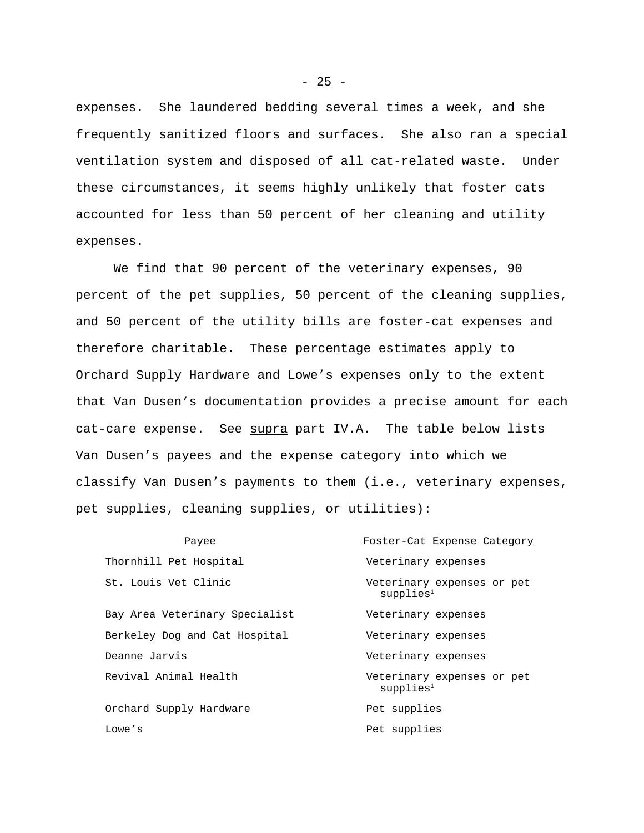expenses. She laundered bedding several times a week, and she frequently sanitized floors and surfaces. She also ran a special ventilation system and disposed of all cat-related waste. Under these circumstances, it seems highly unlikely that foster cats accounted for less than 50 percent of her cleaning and utility expenses.

We find that 90 percent of the veterinary expenses, 90 percent of the pet supplies, 50 percent of the cleaning supplies, and 50 percent of the utility bills are foster-cat expenses and therefore charitable. These percentage estimates apply to Orchard Supply Hardware and Lowe's expenses only to the extent that Van Dusen's documentation provides a precise amount for each cat-care expense. See supra part IV.A. The table below lists Van Dusen's payees and the expense category into which we classify Van Dusen's payments to them (i.e., veterinary expenses, pet supplies, cleaning supplies, or utilities):

| Payee                          | Foster-Cat Expense Category                         |
|--------------------------------|-----------------------------------------------------|
| Thornhill Pet Hospital         | Veterinary expenses                                 |
| St. Louis Vet Clinic           | Veterinary expenses or pet<br>supplies <sup>1</sup> |
| Bay Area Veterinary Specialist | Veterinary expenses                                 |
| Berkeley Dog and Cat Hospital  | Veterinary expenses                                 |
| Deanne Jarvis                  | Veterinary expenses                                 |
| Revival Animal Health          | Veterinary expenses or pet<br>supplies <sup>1</sup> |
| Orchard Supply Hardware        | Pet supplies                                        |
| Lowe's                         | Pet supplies                                        |
|                                |                                                     |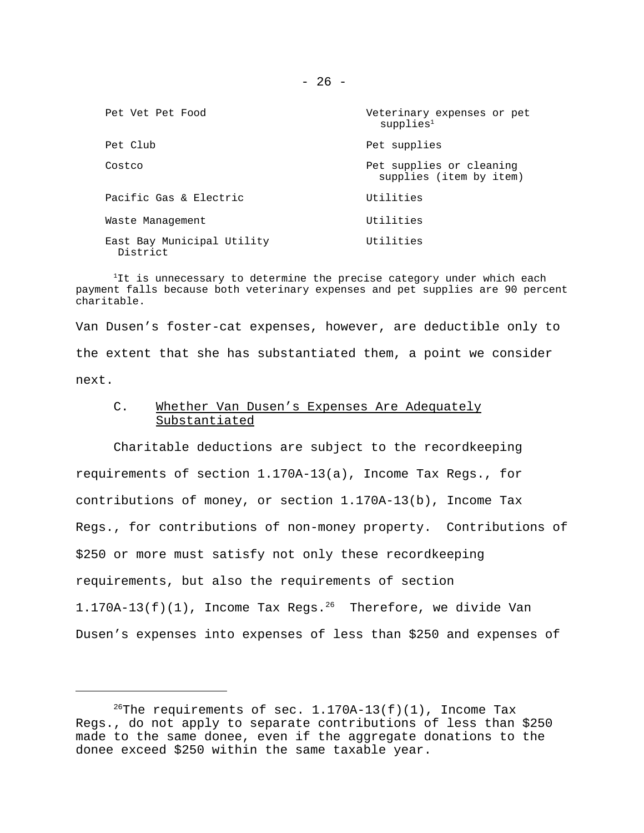| Pet Vet Pet Food                       | Veterinary expenses or pet<br>supplies <sup>1</sup> |  |  |
|----------------------------------------|-----------------------------------------------------|--|--|
| Pet Club                               | Pet supplies                                        |  |  |
| Costco                                 | Pet supplies or cleaning<br>supplies (item by item) |  |  |
| Pacific Gas & Electric                 | Utilities                                           |  |  |
| Waste Management                       | Utilities                                           |  |  |
| East Bay Municipal Utility<br>District | Utilities                                           |  |  |

<sup>1</sup>It is unnecessary to determine the precise category under which each payment falls because both veterinary expenses and pet supplies are 90 percent charitable.

Van Dusen's foster-cat expenses, however, are deductible only to the extent that she has substantiated them, a point we consider next.

### C. Whether Van Dusen's Expenses Are Adequately Substantiated

Charitable deductions are subject to the recordkeeping requirements of section 1.170A-13(a), Income Tax Regs., for contributions of money, or section 1.170A-13(b), Income Tax Regs., for contributions of non-money property. Contributions of \$250 or more must satisfy not only these recordkeeping requirements, but also the requirements of section  $1.170A-13(f)(1)$ , Income Tax Regs.<sup>26</sup> Therefore, we divide Van Dusen's expenses into expenses of less than \$250 and expenses of

<sup>&</sup>lt;sup>26</sup>The requirements of sec.  $1.170A-13(f)(1)$ , Income Tax Regs., do not apply to separate contributions of less than \$250 made to the same donee, even if the aggregate donations to the donee exceed \$250 within the same taxable year.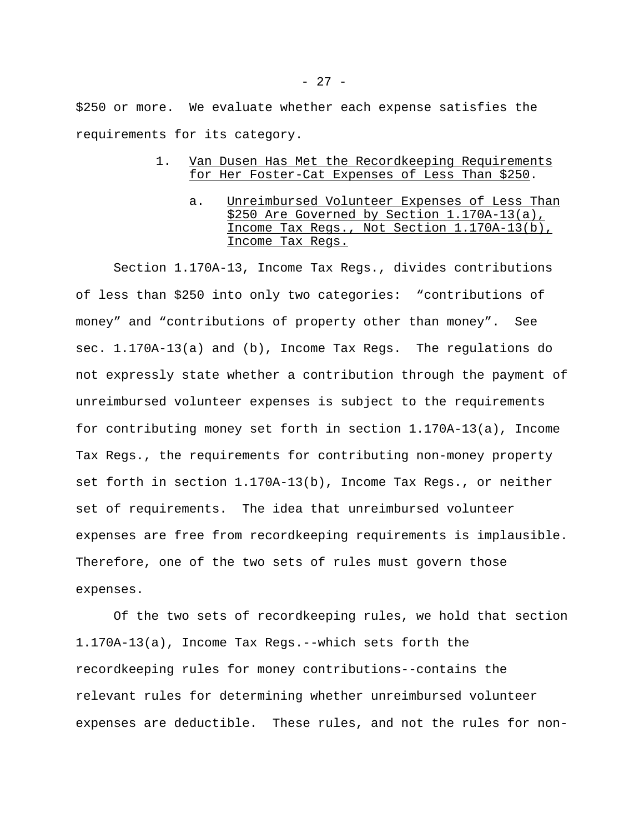\$250 or more. We evaluate whether each expense satisfies the requirements for its category.

# 1. Van Dusen Has Met the Recordkeeping Requirements for Her Foster-Cat Expenses of Less Than \$250.

a. Unreimbursed Volunteer Expenses of Less Than \$250 Are Governed by Section 1.170A-13(a), Income Tax Regs., Not Section 1.170A-13(b), Income Tax Regs.

Section 1.170A-13, Income Tax Regs., divides contributions of less than \$250 into only two categories: "contributions of money" and "contributions of property other than money". See sec. 1.170A-13(a) and (b), Income Tax Regs. The regulations do not expressly state whether a contribution through the payment of unreimbursed volunteer expenses is subject to the requirements for contributing money set forth in section 1.170A-13(a), Income Tax Regs., the requirements for contributing non-money property set forth in section 1.170A-13(b), Income Tax Regs., or neither set of requirements. The idea that unreimbursed volunteer expenses are free from recordkeeping requirements is implausible. Therefore, one of the two sets of rules must govern those expenses.

Of the two sets of recordkeeping rules, we hold that section 1.170A-13(a), Income Tax Regs.--which sets forth the recordkeeping rules for money contributions--contains the relevant rules for determining whether unreimbursed volunteer expenses are deductible. These rules, and not the rules for non-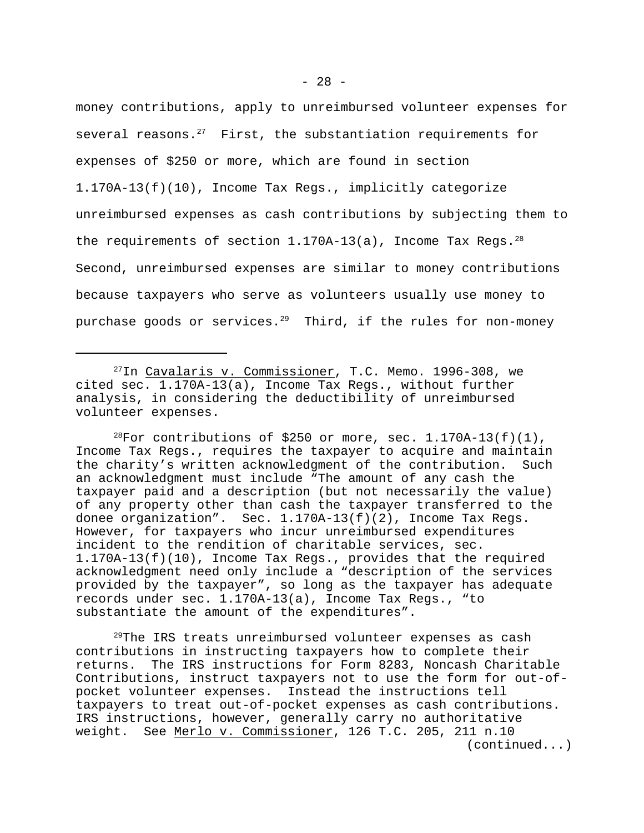money contributions, apply to unreimbursed volunteer expenses for several reasons. $27$  First, the substantiation requirements for expenses of \$250 or more, which are found in section 1.170A-13(f)(10), Income Tax Regs., implicitly categorize unreimbursed expenses as cash contributions by subjecting them to the requirements of section  $1.170A-13(a)$ , Income Tax Regs.<sup>28</sup> Second, unreimbursed expenses are similar to money contributions because taxpayers who serve as volunteers usually use money to purchase goods or services.<sup>29</sup> Third, if the rules for non-money

<sup>28</sup>For contributions of \$250 or more, sec.  $1.170A-13(f)(1)$ , Income Tax Regs., requires the taxpayer to acquire and maintain the charity's written acknowledgment of the contribution. Such an acknowledgment must include "The amount of any cash the taxpayer paid and a description (but not necessarily the value) of any property other than cash the taxpayer transferred to the donee organization". Sec. 1.170A-13(f)(2), Income Tax Regs. However, for taxpayers who incur unreimbursed expenditures incident to the rendition of charitable services, sec. 1.170A-13(f)(10), Income Tax Regs., provides that the required acknowledgment need only include a "description of the services provided by the taxpayer", so long as the taxpayer has adequate records under sec. 1.170A-13(a), Income Tax Regs., "to substantiate the amount of the expenditures".

<sup>29</sup>The IRS treats unreimbursed volunteer expenses as cash contributions in instructing taxpayers how to complete their returns. The IRS instructions for Form 8283, Noncash Charitable Contributions, instruct taxpayers not to use the form for out-ofpocket volunteer expenses. Instead the instructions tell taxpayers to treat out-of-pocket expenses as cash contributions. IRS instructions, however, generally carry no authoritative weight. See Merlo v. Commissioner, 126 T.C. 205, 211 n.10 (continued...)

 $^{27}$ In Cavalaris v. Commissioner, T.C. Memo. 1996-308, we cited sec. 1.170A-13(a), Income Tax Regs., without further analysis, in considering the deductibility of unreimbursed volunteer expenses.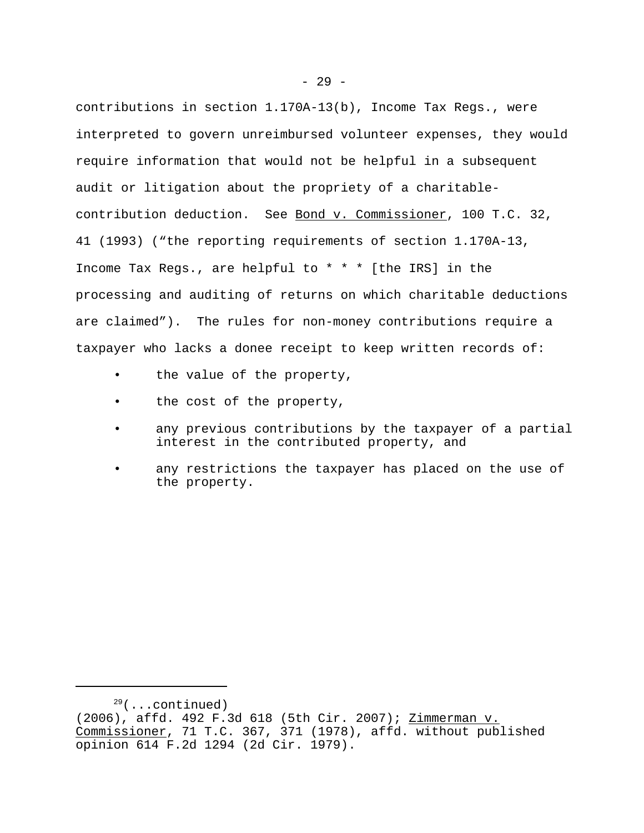contributions in section 1.170A-13(b), Income Tax Regs., were interpreted to govern unreimbursed volunteer expenses, they would require information that would not be helpful in a subsequent audit or litigation about the propriety of a charitablecontribution deduction. See Bond v. Commissioner, 100 T.C. 32, 41 (1993) ("the reporting requirements of section 1.170A-13, Income Tax Regs., are helpful to \* \* \* [the IRS] in the processing and auditing of returns on which charitable deductions are claimed"). The rules for non-money contributions require a taxpayer who lacks a donee receipt to keep written records of:

- the value of the property,
- the cost of the property,
- any previous contributions by the taxpayer of a partial interest in the contributed property, and
- any restrictions the taxpayer has placed on the use of the property.

<sup>(2006),</sup> affd. 492 F.3d 618 (5th Cir. 2007); Zimmerman v. Commissioner, 71 T.C. 367, 371 (1978), affd. without published opinion 614 F.2d 1294 (2d Cir. 1979).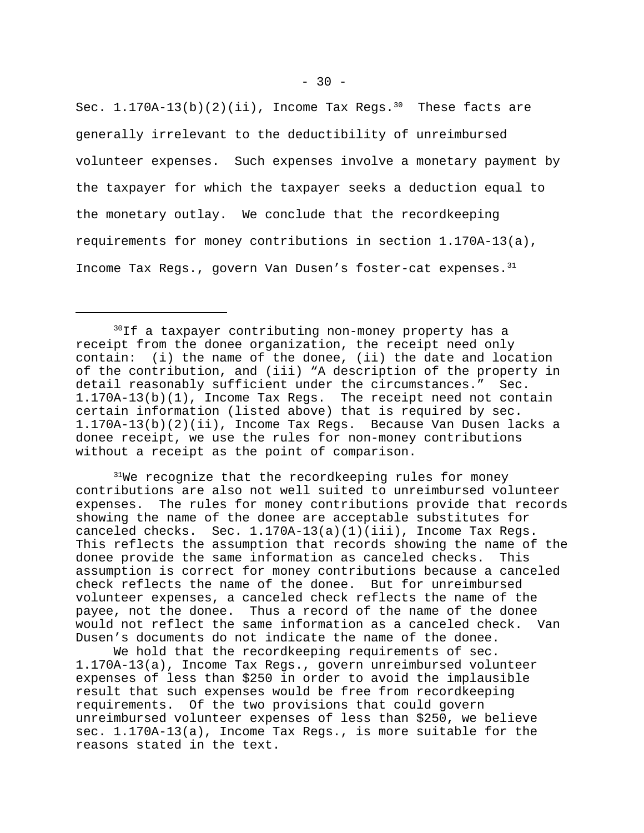Sec.  $1.170A-13(b)(2)(ii)$ , Income Tax Regs.<sup>30</sup> These facts are generally irrelevant to the deductibility of unreimbursed volunteer expenses. Such expenses involve a monetary payment by the taxpayer for which the taxpayer seeks a deduction equal to the monetary outlay. We conclude that the recordkeeping requirements for money contributions in section 1.170A-13(a), Income Tax Regs., govern Van Dusen's foster-cat expenses.<sup>31</sup>

 $31$ We recognize that the recordkeeping rules for money contributions are also not well suited to unreimbursed volunteer expenses. The rules for money contributions provide that records showing the name of the donee are acceptable substitutes for canceled checks. Sec. 1.170A-13(a)(1)(iii), Income Tax Regs. This reflects the assumption that records showing the name of the donee provide the same information as canceled checks. This assumption is correct for money contributions because a canceled check reflects the name of the donee. But for unreimbursed volunteer expenses, a canceled check reflects the name of the payee, not the donee. Thus a record of the name of the donee would not reflect the same information as a canceled check. Van Dusen's documents do not indicate the name of the donee.

We hold that the recordkeeping requirements of sec. 1.170A-13(a), Income Tax Regs., govern unreimbursed volunteer expenses of less than \$250 in order to avoid the implausible result that such expenses would be free from recordkeeping requirements. Of the two provisions that could govern unreimbursed volunteer expenses of less than \$250, we believe sec. 1.170A-13(a), Income Tax Regs., is more suitable for the reasons stated in the text.

<sup>&</sup>lt;sup>30</sup>If a taxpayer contributing non-money property has a receipt from the donee organization, the receipt need only contain: (i) the name of the donee, (ii) the date and location of the contribution, and (iii) "A description of the property in detail reasonably sufficient under the circumstances." Sec. 1.170A-13(b)(1), Income Tax Regs. The receipt need not contain certain information (listed above) that is required by sec. 1.170A-13(b)(2)(ii), Income Tax Regs. Because Van Dusen lacks a donee receipt, we use the rules for non-money contributions without a receipt as the point of comparison.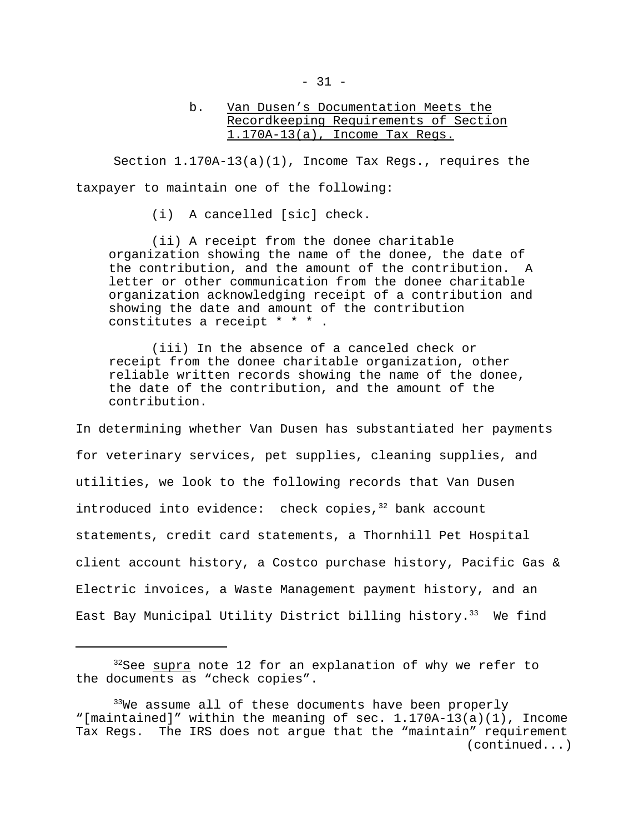# b. Van Dusen's Documentation Meets the Recordkeeping Requirements of Section 1.170A-13(a), Income Tax Regs.

Section  $1.170A-13(a)(1)$ , Income Tax Regs., requires the taxpayer to maintain one of the following:

(i) A cancelled [sic] check.

(ii) A receipt from the donee charitable organization showing the name of the donee, the date of the contribution, and the amount of the contribution. A letter or other communication from the donee charitable organization acknowledging receipt of a contribution and showing the date and amount of the contribution constitutes a receipt \* \* \* .

(iii) In the absence of a canceled check or receipt from the donee charitable organization, other reliable written records showing the name of the donee, the date of the contribution, and the amount of the contribution.

In determining whether Van Dusen has substantiated her payments for veterinary services, pet supplies, cleaning supplies, and utilities, we look to the following records that Van Dusen introduced into evidence: check copies, $32$  bank account statements, credit card statements, a Thornhill Pet Hospital client account history, a Costco purchase history, Pacific Gas & Electric invoices, a Waste Management payment history, and an East Bay Municipal Utility District billing history.<sup>33</sup> We find

<sup>&</sup>lt;sup>32</sup>See supra note 12 for an explanation of why we refer to the documents as "check copies".

 $33$ We assume all of these documents have been properly "[maintained]" within the meaning of sec. 1.170A-13(a)(1), Income Tax Regs. The IRS does not argue that the "maintain" requirement (continued...)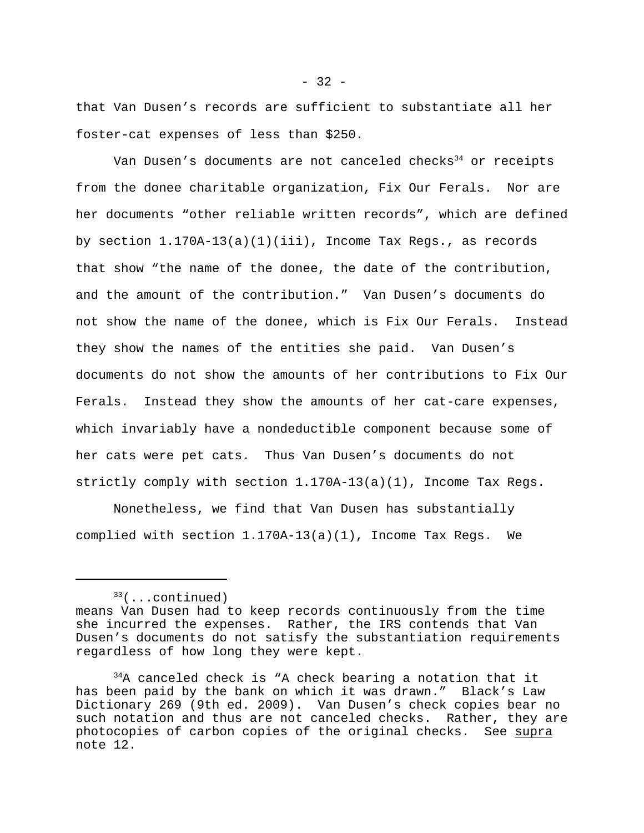that Van Dusen's records are sufficient to substantiate all her foster-cat expenses of less than \$250.

Van Dusen's documents are not canceled checks<sup>34</sup> or receipts from the donee charitable organization, Fix Our Ferals. Nor are her documents "other reliable written records", which are defined by section 1.170A-13(a)(1)(iii), Income Tax Regs., as records that show "the name of the donee, the date of the contribution, and the amount of the contribution." Van Dusen's documents do not show the name of the donee, which is Fix Our Ferals. Instead they show the names of the entities she paid. Van Dusen's documents do not show the amounts of her contributions to Fix Our Ferals. Instead they show the amounts of her cat-care expenses, which invariably have a nondeductible component because some of her cats were pet cats. Thus Van Dusen's documents do not strictly comply with section 1.170A-13(a)(1), Income Tax Regs.

Nonetheless, we find that Van Dusen has substantially complied with section 1.170A-13(a)(1), Income Tax Regs. We

<sup>33</sup>(...continued)

means Van Dusen had to keep records continuously from the time she incurred the expenses. Rather, the IRS contends that Van Dusen's documents do not satisfy the substantiation requirements regardless of how long they were kept.

 $34A$  canceled check is "A check bearing a notation that it has been paid by the bank on which it was drawn." Black's Law Dictionary 269 (9th ed. 2009). Van Dusen's check copies bear no such notation and thus are not canceled checks. Rather, they are photocopies of carbon copies of the original checks. See supra note 12.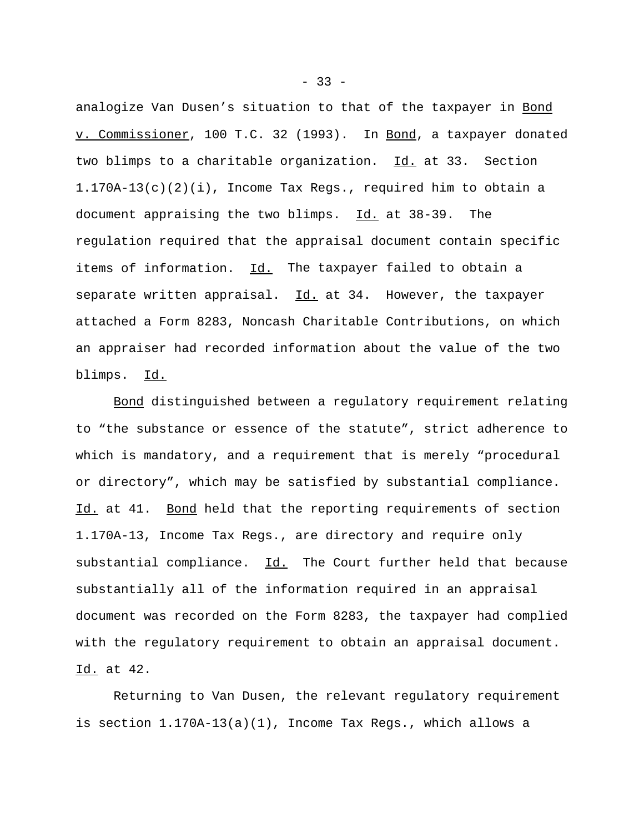analogize Van Dusen's situation to that of the taxpayer in Bond v. Commissioner, 100 T.C. 32 (1993). In Bond, a taxpayer donated two blimps to a charitable organization. Id. at 33. Section  $1.170A-13(c)(2)(i)$ , Income Tax Regs., required him to obtain a document appraising the two blimps. Id. at 38-39. The regulation required that the appraisal document contain specific items of information. Id. The taxpayer failed to obtain a separate written appraisal.  $Id.$  at 34. However, the taxpayer attached a Form 8283, Noncash Charitable Contributions, on which an appraiser had recorded information about the value of the two blimps. Id.

Bond distinguished between a regulatory requirement relating to "the substance or essence of the statute", strict adherence to which is mandatory, and a requirement that is merely "procedural or directory", which may be satisfied by substantial compliance. Id. at 41. Bond held that the reporting requirements of section 1.170A-13, Income Tax Regs., are directory and require only substantial compliance. Id. The Court further held that because substantially all of the information required in an appraisal document was recorded on the Form 8283, the taxpayer had complied with the regulatory requirement to obtain an appraisal document. Id. at 42.

Returning to Van Dusen, the relevant regulatory requirement is section 1.170A-13(a)(1), Income Tax Regs., which allows a

 $- 33 -$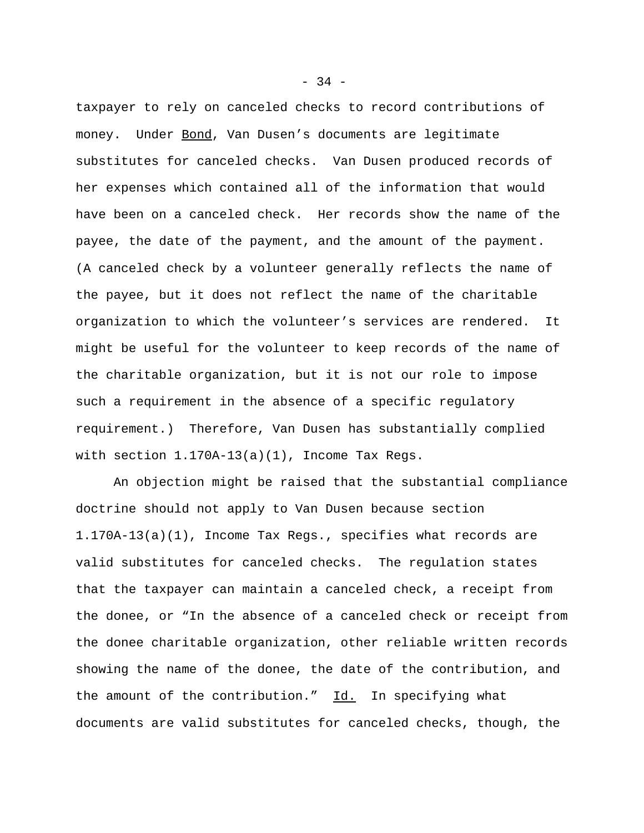taxpayer to rely on canceled checks to record contributions of money. Under Bond, Van Dusen's documents are legitimate substitutes for canceled checks. Van Dusen produced records of her expenses which contained all of the information that would have been on a canceled check. Her records show the name of the payee, the date of the payment, and the amount of the payment. (A canceled check by a volunteer generally reflects the name of the payee, but it does not reflect the name of the charitable organization to which the volunteer's services are rendered. It might be useful for the volunteer to keep records of the name of the charitable organization, but it is not our role to impose such a requirement in the absence of a specific regulatory requirement.) Therefore, Van Dusen has substantially complied with section  $1.170A-13(a)(1)$ , Income Tax Regs.

An objection might be raised that the substantial compliance doctrine should not apply to Van Dusen because section 1.170A-13(a)(1), Income Tax Regs., specifies what records are valid substitutes for canceled checks. The regulation states that the taxpayer can maintain a canceled check, a receipt from the donee, or "In the absence of a canceled check or receipt from the donee charitable organization, other reliable written records showing the name of the donee, the date of the contribution, and the amount of the contribution."  $\underline{Id.}$  In specifying what documents are valid substitutes for canceled checks, though, the

 $-34 -$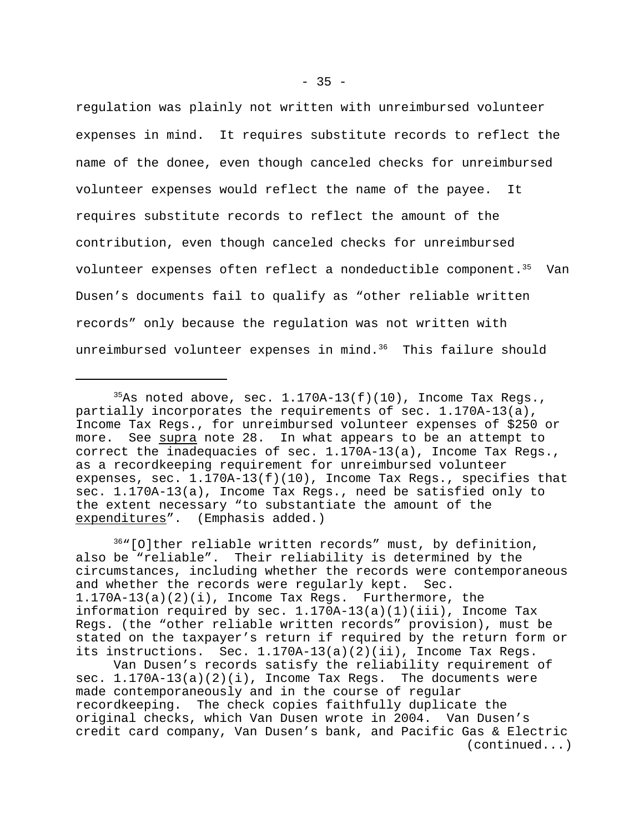regulation was plainly not written with unreimbursed volunteer expenses in mind. It requires substitute records to reflect the name of the donee, even though canceled checks for unreimbursed volunteer expenses would reflect the name of the payee. It requires substitute records to reflect the amount of the contribution, even though canceled checks for unreimbursed volunteer expenses often reflect a nondeductible component.<sup>35</sup> Van Dusen's documents fail to qualify as "other reliable written records" only because the regulation was not written with unreimbursed volunteer expenses in mind.<sup>36</sup> This failure should

<sup>36</sup>"[O]ther reliable written records" must, by definition, also be "reliable". Their reliability is determined by the circumstances, including whether the records were contemporaneous and whether the records were regularly kept. Sec. 1.170A-13(a)(2)(i), Income Tax Regs. Furthermore, the information required by sec.  $1.170A-13(a)(1)(iii)$ , Income Tax Regs. (the "other reliable written records" provision), must be stated on the taxpayer's return if required by the return form or its instructions. Sec. 1.170A-13(a)(2)(ii), Income Tax Regs.

Van Dusen's records satisfy the reliability requirement of sec.  $1.170A-13(a)(2)(i)$ , Income Tax Regs. The documents were made contemporaneously and in the course of regular recordkeeping. The check copies faithfully duplicate the original checks, which Van Dusen wrote in 2004. Van Dusen's credit card company, Van Dusen's bank, and Pacific Gas & Electric (continued...)

<sup>&</sup>lt;sup>35</sup>As noted above, sec.  $1.170A-13(f)(10)$ , Income Tax Regs., partially incorporates the requirements of sec. 1.170A-13(a), Income Tax Regs., for unreimbursed volunteer expenses of \$250 or more. See supra note 28. In what appears to be an attempt to correct the inadequacies of sec. 1.170A-13(a), Income Tax Regs., as a recordkeeping requirement for unreimbursed volunteer expenses, sec. 1.170A-13(f)(10), Income Tax Regs., specifies that sec. 1.170A-13(a), Income Tax Regs., need be satisfied only to the extent necessary "to substantiate the amount of the expenditures". (Emphasis added.)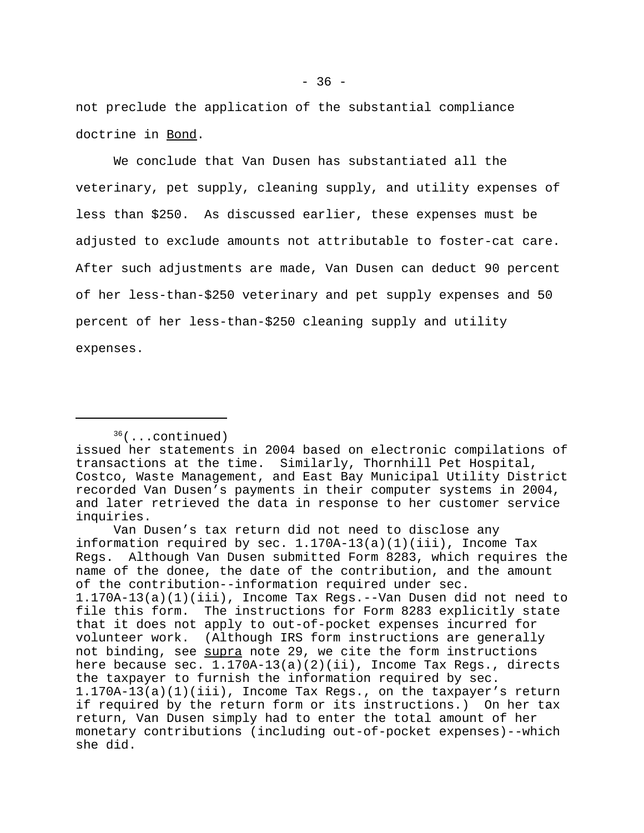not preclude the application of the substantial compliance doctrine in Bond.

We conclude that Van Dusen has substantiated all the veterinary, pet supply, cleaning supply, and utility expenses of less than \$250. As discussed earlier, these expenses must be adjusted to exclude amounts not attributable to foster-cat care. After such adjustments are made, Van Dusen can deduct 90 percent of her less-than-\$250 veterinary and pet supply expenses and 50 percent of her less-than-\$250 cleaning supply and utility expenses.

<sup>36</sup>(...continued)

issued her statements in 2004 based on electronic compilations of transactions at the time. Similarly, Thornhill Pet Hospital, Costco, Waste Management, and East Bay Municipal Utility District recorded Van Dusen's payments in their computer systems in 2004, and later retrieved the data in response to her customer service inquiries.

Van Dusen's tax return did not need to disclose any information required by sec. 1.170A-13(a)(1)(iii), Income Tax Regs.Although Van Dusen submitted Form 8283, which requires the name of the donee, the date of the contribution, and the amount of the contribution--information required under sec. 1.170A-13(a)(1)(iii), Income Tax Regs.--Van Dusen did not need to file this form. The instructions for Form 8283 explicitly state that it does not apply to out-of-pocket expenses incurred for volunteer work. (Although IRS form instructions are generally not binding, see supra note 29, we cite the form instructions here because sec. 1.170A-13(a)(2)(ii), Income Tax Regs., directs the taxpayer to furnish the information required by sec. 1.170A-13(a)(1)(iii), Income Tax Regs., on the taxpayer's return if required by the return form or its instructions.) On her tax return, Van Dusen simply had to enter the total amount of her monetary contributions (including out-of-pocket expenses)--which she did.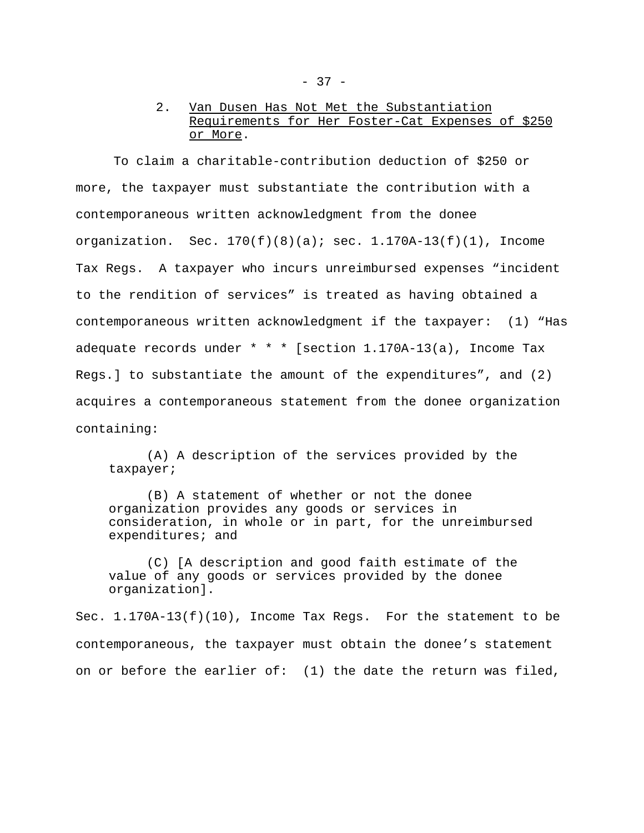# 2. Van Dusen Has Not Met the Substantiation Requirements for Her Foster-Cat Expenses of \$250 or More.

To claim a charitable-contribution deduction of \$250 or more, the taxpayer must substantiate the contribution with a contemporaneous written acknowledgment from the donee organization. Sec.  $170(f)(8)(a)$ ; sec.  $1.170A-13(f)(1)$ , Income Tax Regs. A taxpayer who incurs unreimbursed expenses "incident to the rendition of services" is treated as having obtained a contemporaneous written acknowledgment if the taxpayer: (1) "Has adequate records under  $* * *$  [section 1.170A-13(a), Income Tax Regs.] to substantiate the amount of the expenditures", and (2) acquires a contemporaneous statement from the donee organization containing:

(A) A description of the services provided by the taxpayer;

(B) A statement of whether or not the donee organization provides any goods or services in consideration, in whole or in part, for the unreimbursed expenditures; and

(C) [A description and good faith estimate of the value of any goods or services provided by the donee organization].

Sec. 1.170A-13(f)(10), Income Tax Regs. For the statement to be contemporaneous, the taxpayer must obtain the donee's statement on or before the earlier of: (1) the date the return was filed,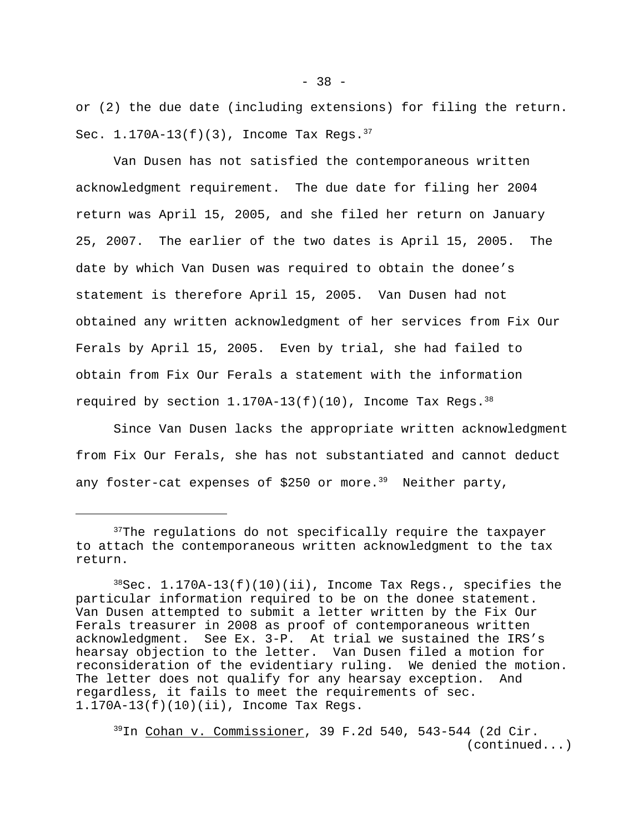or (2) the due date (including extensions) for filing the return. Sec.  $1.170A-13(f)(3)$ , Income Tax Regs.  $37$ 

Van Dusen has not satisfied the contemporaneous written acknowledgment requirement. The due date for filing her 2004 return was April 15, 2005, and she filed her return on January 25, 2007. The earlier of the two dates is April 15, 2005. The date by which Van Dusen was required to obtain the donee's statement is therefore April 15, 2005. Van Dusen had not obtained any written acknowledgment of her services from Fix Our Ferals by April 15, 2005. Even by trial, she had failed to obtain from Fix Our Ferals a statement with the information required by section  $1.170A-13(f)(10)$ , Income Tax Regs.<sup>38</sup>

Since Van Dusen lacks the appropriate written acknowledgment from Fix Our Ferals, she has not substantiated and cannot deduct any foster-cat expenses of \$250 or more.<sup>39</sup> Neither party,

<sup>39</sup>In Cohan v. Commissioner, 39 F.2d 540, 543-544 (2d Cir. (continued...)

<sup>&</sup>lt;sup>37</sup>The regulations do not specifically require the taxpayer to attach the contemporaneous written acknowledgment to the tax return.

 $38$ Sec. 1.170A-13(f)(10)(ii), Income Tax Regs., specifies the particular information required to be on the donee statement. Van Dusen attempted to submit a letter written by the Fix Our Ferals treasurer in 2008 as proof of contemporaneous written acknowledgment. See Ex. 3-P. At trial we sustained the IRS's hearsay objection to the letter. Van Dusen filed a motion for reconsideration of the evidentiary ruling. We denied the motion. The letter does not qualify for any hearsay exception. And regardless, it fails to meet the requirements of sec. 1.170A-13(f)(10)(ii), Income Tax Regs.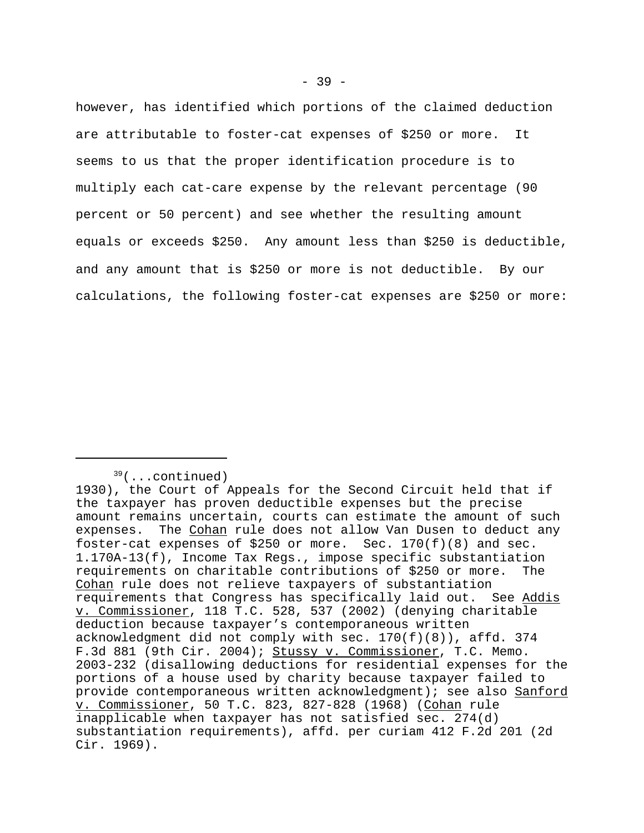however, has identified which portions of the claimed deduction are attributable to foster-cat expenses of \$250 or more. It seems to us that the proper identification procedure is to multiply each cat-care expense by the relevant percentage (90 percent or 50 percent) and see whether the resulting amount equals or exceeds \$250. Any amount less than \$250 is deductible, and any amount that is \$250 or more is not deductible. By our calculations, the following foster-cat expenses are \$250 or more:

<sup>39</sup>(...continued)

<sup>1930),</sup> the Court of Appeals for the Second Circuit held that if the taxpayer has proven deductible expenses but the precise amount remains uncertain, courts can estimate the amount of such expenses. The Cohan rule does not allow Van Dusen to deduct any foster-cat expenses of \$250 or more. Sec.  $170(f)(8)$  and sec. 1.170A-13(f), Income Tax Regs., impose specific substantiation requirements on charitable contributions of \$250 or more. The Cohan rule does not relieve taxpayers of substantiation requirements that Congress has specifically laid out. See Addis v. Commissioner, 118 T.C. 528, 537 (2002) (denying charitable deduction because taxpayer's contemporaneous written acknowledgment did not comply with sec. 170(f)(8)), affd. 374 F.3d 881 (9th Cir. 2004); Stussy v. Commissioner, T.C. Memo. 2003-232 (disallowing deductions for residential expenses for the portions of a house used by charity because taxpayer failed to provide contemporaneous written acknowledgment); see also Sanford v. Commissioner, 50 T.C. 823, 827-828 (1968) (Cohan rule inapplicable when taxpayer has not satisfied sec. 274(d) substantiation requirements), affd. per curiam 412 F.2d 201 (2d Cir. 1969).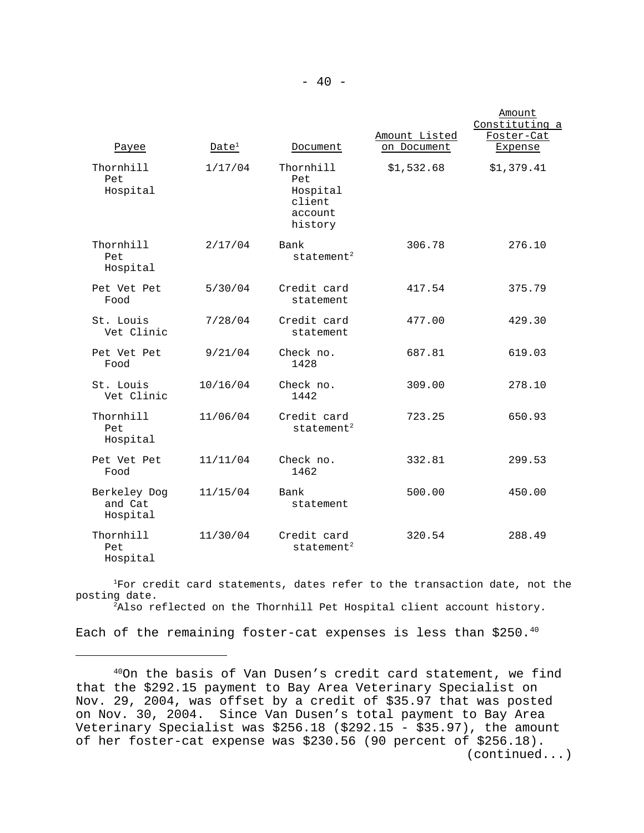|                                     |                   |                                                              |                              | Amount<br>Constituting a |
|-------------------------------------|-------------------|--------------------------------------------------------------|------------------------------|--------------------------|
| Payee                               | Date <sup>1</sup> | Document                                                     | Amount Listed<br>on Document | Foster-Cat<br>Expense    |
| Thornhill<br>Pet<br>Hospital        | 1/17/04           | Thornhill<br>Pet<br>Hospital<br>client<br>account<br>history | \$1,532.68                   | \$1,379.41               |
| Thornhill<br>Pet<br>Hospital        | 2/17/04           | Bank<br>statement <sup>2</sup>                               | 306.78                       | 276.10                   |
| Pet Vet Pet<br>Food                 | 5/30/04           | Credit card<br>statement                                     | 417.54                       | 375.79                   |
| St. Louis<br>Vet Clinic             | 7/28/04           | Credit card<br>statement                                     | 477.00                       | 429.30                   |
| Pet Vet Pet<br>Food                 | 9/21/04           | Check no.<br>1428                                            | 687.81                       | 619.03                   |
| St. Louis<br>Vet Clinic             | 10/16/04          | Check no.<br>1442                                            | 309.00                       | 278.10                   |
| Thornhill<br>Pet<br>Hospital        | 11/06/04          | Credit card<br>statement <sup>2</sup>                        | 723.25                       | 650.93                   |
| Pet Vet Pet<br>Food                 | 11/11/04          | Check no.<br>1462                                            | 332.81                       | 299.53                   |
| Berkeley Dog<br>and Cat<br>Hospital | 11/15/04          | Bank<br>statement                                            | 500.00                       | 450.00                   |
| Thornhill<br>Pet<br>Hospital        | 11/30/04          | Credit card<br>statement <sup>2</sup>                        | 320.54                       | 288.49                   |

<sup>1</sup>For credit card statements, dates refer to the transaction date, not the posting date.

<sup>2</sup>Also reflected on the Thornhill Pet Hospital client account history.

Each of the remaining foster-cat expenses is less than \$250.40

<sup>40</sup>On the basis of Van Dusen's credit card statement, we find that the \$292.15 payment to Bay Area Veterinary Specialist on Nov. 29, 2004, was offset by a credit of \$35.97 that was posted on Nov. 30, 2004. Since Van Dusen's total payment to Bay Area Veterinary Specialist was \$256.18 (\$292.15 - \$35.97), the amount of her foster-cat expense was \$230.56 (90 percent of \$256.18). (continued...)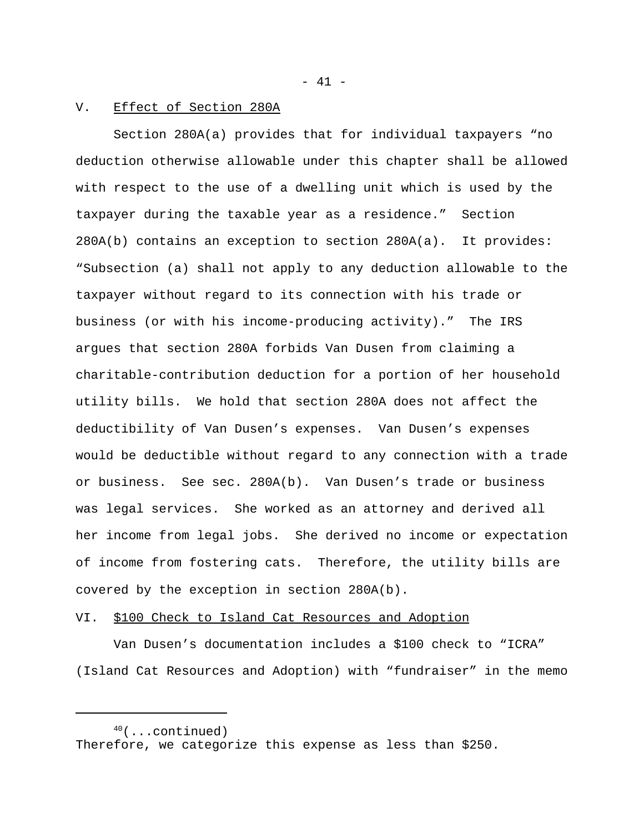- 41 -

#### V. Effect of Section 280A

Section 280A(a) provides that for individual taxpayers "no deduction otherwise allowable under this chapter shall be allowed with respect to the use of a dwelling unit which is used by the taxpayer during the taxable year as a residence." Section 280A(b) contains an exception to section 280A(a). It provides: "Subsection (a) shall not apply to any deduction allowable to the taxpayer without regard to its connection with his trade or business (or with his income-producing activity)." The IRS argues that section 280A forbids Van Dusen from claiming a charitable-contribution deduction for a portion of her household utility bills. We hold that section 280A does not affect the deductibility of Van Dusen's expenses. Van Dusen's expenses would be deductible without regard to any connection with a trade or business. See sec. 280A(b). Van Dusen's trade or business was legal services. She worked as an attorney and derived all her income from legal jobs. She derived no income or expectation of income from fostering cats. Therefore, the utility bills are covered by the exception in section 280A(b).

#### VI. \$100 Check to Island Cat Resources and Adoption

Van Dusen's documentation includes a \$100 check to "ICRA" (Island Cat Resources and Adoption) with "fundraiser" in the memo

 $40$ (...continued) Therefore, we categorize this expense as less than \$250.